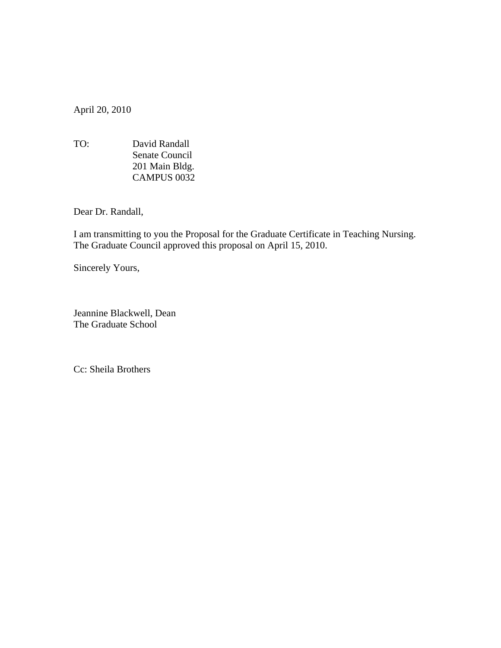April 20, 2010

TO:David Randall Senate Council 201 Main Bldg. CAMPUS 0032

Dear Dr. Randall,

I am transmitting to you the Proposal for the Graduate Certificate in Teaching Nursing. The Graduate Council approved this proposal on April 15, 2010.

Sincerely Yours,

Jeannine Blackwell, Dean The Graduate School

Cc: Sheila Brothers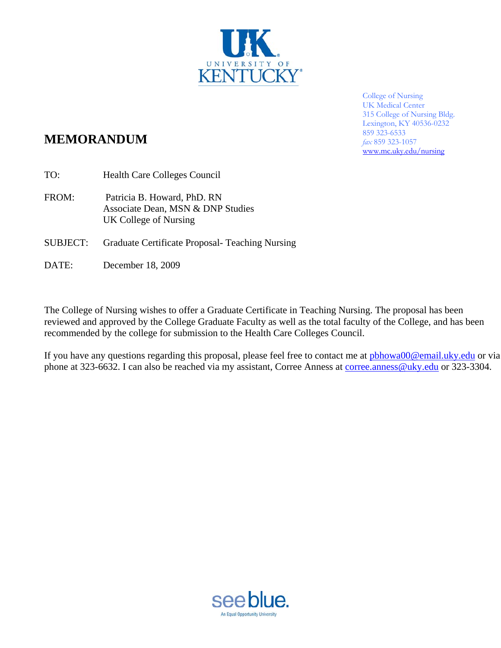

College of Nursing UK Medical Center 315 College of Nursing Bldg. Lexington, KY 40536-0232 859 323-6533 *fax* 859 323-1057 www.mc.uky.edu/nursing

# **MEMORANDUM**

TO: Health Care Colleges Council

FROM: Patricia B. Howard, PhD. RN Associate Dean, MSN & DNP Studies UK College of Nursing

- SUBJECT: Graduate Certificate Proposal- Teaching Nursing
- DATE: December 18, 2009

The College of Nursing wishes to offer a Graduate Certificate in Teaching Nursing. The proposal has been reviewed and approved by the College Graduate Faculty as well as the total faculty of the College, and has been recommended by the college for submission to the Health Care Colleges Council.

If you have any questions regarding this proposal, please feel free to contact me at phhowa00@email.uky.edu or via phone at 323-6632. I can also be reached via my assistant, Corree Anness at corree.anness@uky.edu or 323-3304.

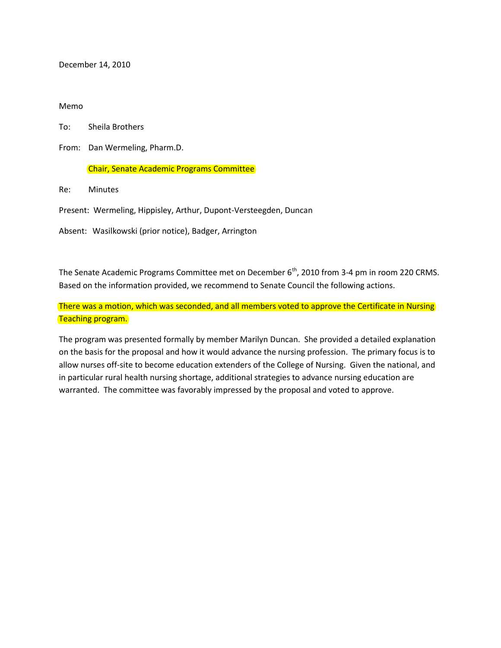December 14, 2010

#### Memo

To: Sheila Brothers

From: Dan Wermeling, Pharm.D.

#### Chair, Senate Academic Programs Committee

Re: Minutes

Present: Wermeling, Hippisley, Arthur, Dupont-Versteegden, Duncan

Absent: Wasilkowski (prior notice), Badger, Arrington

The Senate Academic Programs Committee met on December 6<sup>th</sup>, 2010 from 3-4 pm in room 220 CRMS. Based on the information provided, we recommend to Senate Council the following actions.

There was a motion, which was seconded, and all members voted to approve the Certificate in Nursing Teaching program.

The program was presented formally by member Marilyn Duncan. She provided a detailed explanation on the basis for the proposal and how it would advance the nursing profession. The primary focus is to allow nurses off-site to become education extenders of the College of Nursing. Given the national, and in particular rural health nursing shortage, additional strategies to advance nursing education are warranted. The committee was favorably impressed by the proposal and voted to approve.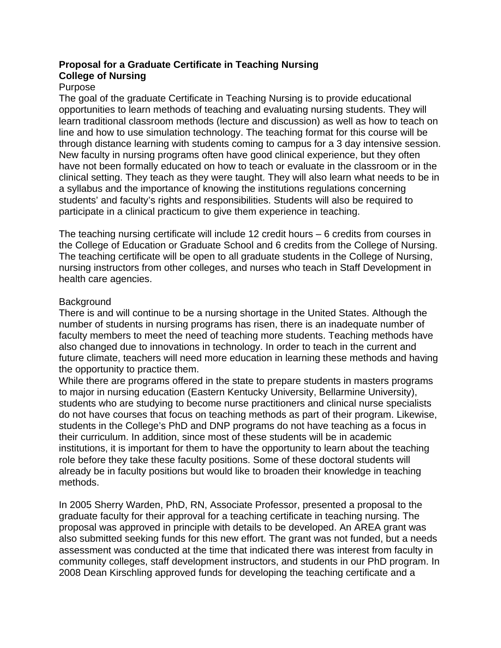## **Proposal for a Graduate Certificate in Teaching Nursing College of Nursing**

## Purpose

The goal of the graduate Certificate in Teaching Nursing is to provide educational opportunities to learn methods of teaching and evaluating nursing students. They will learn traditional classroom methods (lecture and discussion) as well as how to teach on line and how to use simulation technology. The teaching format for this course will be through distance learning with students coming to campus for a 3 day intensive session. New faculty in nursing programs often have good clinical experience, but they often have not been formally educated on how to teach or evaluate in the classroom or in the clinical setting. They teach as they were taught. They will also learn what needs to be in a syllabus and the importance of knowing the institutions regulations concerning students' and faculty's rights and responsibilities. Students will also be required to participate in a clinical practicum to give them experience in teaching.

The teaching nursing certificate will include 12 credit hours – 6 credits from courses in the College of Education or Graduate School and 6 credits from the College of Nursing. The teaching certificate will be open to all graduate students in the College of Nursing, nursing instructors from other colleges, and nurses who teach in Staff Development in health care agencies.

## **Background**

There is and will continue to be a nursing shortage in the United States. Although the number of students in nursing programs has risen, there is an inadequate number of faculty members to meet the need of teaching more students. Teaching methods have also changed due to innovations in technology. In order to teach in the current and future climate, teachers will need more education in learning these methods and having the opportunity to practice them.

While there are programs offered in the state to prepare students in masters programs to major in nursing education (Eastern Kentucky University, Bellarmine University), students who are studying to become nurse practitioners and clinical nurse specialists do not have courses that focus on teaching methods as part of their program. Likewise, students in the College's PhD and DNP programs do not have teaching as a focus in their curriculum. In addition, since most of these students will be in academic institutions, it is important for them to have the opportunity to learn about the teaching role before they take these faculty positions. Some of these doctoral students will already be in faculty positions but would like to broaden their knowledge in teaching methods.

In 2005 Sherry Warden, PhD, RN, Associate Professor, presented a proposal to the graduate faculty for their approval for a teaching certificate in teaching nursing. The proposal was approved in principle with details to be developed. An AREA grant was also submitted seeking funds for this new effort. The grant was not funded, but a needs assessment was conducted at the time that indicated there was interest from faculty in community colleges, staff development instructors, and students in our PhD program. In 2008 Dean Kirschling approved funds for developing the teaching certificate and a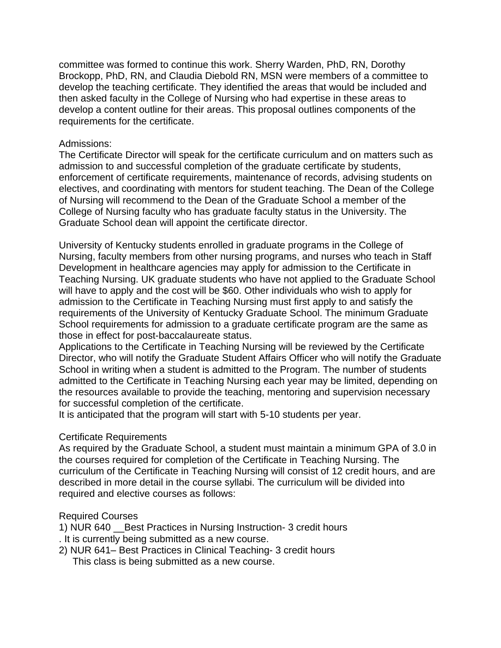committee was formed to continue this work. Sherry Warden, PhD, RN, Dorothy Brockopp, PhD, RN, and Claudia Diebold RN, MSN were members of a committee to develop the teaching certificate. They identified the areas that would be included and then asked faculty in the College of Nursing who had expertise in these areas to develop a content outline for their areas. This proposal outlines components of the requirements for the certificate.

#### Admissions:

The Certificate Director will speak for the certificate curriculum and on matters such as admission to and successful completion of the graduate certificate by students, enforcement of certificate requirements, maintenance of records, advising students on electives, and coordinating with mentors for student teaching. The Dean of the College of Nursing will recommend to the Dean of the Graduate School a member of the College of Nursing faculty who has graduate faculty status in the University. The Graduate School dean will appoint the certificate director.

University of Kentucky students enrolled in graduate programs in the College of Nursing, faculty members from other nursing programs, and nurses who teach in Staff Development in healthcare agencies may apply for admission to the Certificate in Teaching Nursing. UK graduate students who have not applied to the Graduate School will have to apply and the cost will be \$60. Other individuals who wish to apply for admission to the Certificate in Teaching Nursing must first apply to and satisfy the requirements of the University of Kentucky Graduate School. The minimum Graduate School requirements for admission to a graduate certificate program are the same as those in effect for post-baccalaureate status.

Applications to the Certificate in Teaching Nursing will be reviewed by the Certificate Director, who will notify the Graduate Student Affairs Officer who will notify the Graduate School in writing when a student is admitted to the Program. The number of students admitted to the Certificate in Teaching Nursing each year may be limited, depending on the resources available to provide the teaching, mentoring and supervision necessary for successful completion of the certificate.

It is anticipated that the program will start with 5-10 students per year.

#### Certificate Requirements

As required by the Graduate School, a student must maintain a minimum GPA of 3.0 in the courses required for completion of the Certificate in Teaching Nursing. The curriculum of the Certificate in Teaching Nursing will consist of 12 credit hours, and are described in more detail in the course syllabi. The curriculum will be divided into required and elective courses as follows:

#### Required Courses

1) NUR 640 Best Practices in Nursing Instruction- 3 credit hours

- . It is currently being submitted as a new course.
- 2) NUR 641– Best Practices in Clinical Teaching- 3 credit hours
	- This class is being submitted as a new course.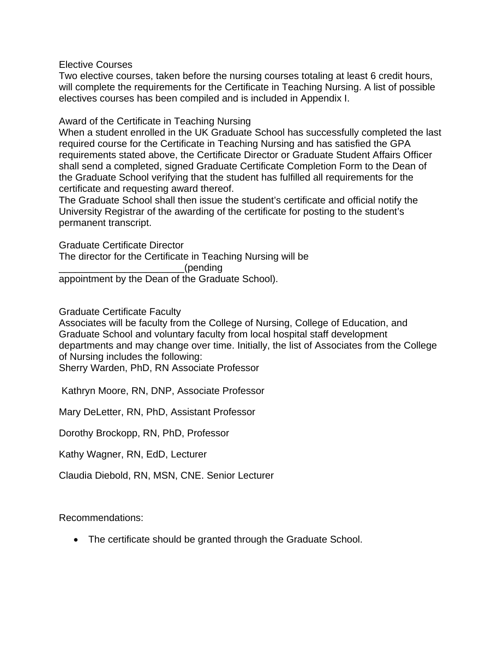Elective Courses

Two elective courses, taken before the nursing courses totaling at least 6 credit hours, will complete the requirements for the Certificate in Teaching Nursing. A list of possible electives courses has been compiled and is included in Appendix I.

Award of the Certificate in Teaching Nursing

When a student enrolled in the UK Graduate School has successfully completed the last required course for the Certificate in Teaching Nursing and has satisfied the GPA requirements stated above, the Certificate Director or Graduate Student Affairs Officer shall send a completed, signed Graduate Certificate Completion Form to the Dean of the Graduate School verifying that the student has fulfilled all requirements for the certificate and requesting award thereof.

The Graduate School shall then issue the student's certificate and official notify the University Registrar of the awarding of the certificate for posting to the student's permanent transcript.

Graduate Certificate Director

The director for the Certificate in Teaching Nursing will be

\_\_\_\_\_\_\_\_\_\_\_\_\_\_\_\_\_\_\_\_\_\_\_(pending

appointment by the Dean of the Graduate School).

Graduate Certificate Faculty

Associates will be faculty from the College of Nursing, College of Education, and Graduate School and voluntary faculty from local hospital staff development departments and may change over time. Initially, the list of Associates from the College of Nursing includes the following:

Sherry Warden, PhD, RN Associate Professor

Kathryn Moore, RN, DNP, Associate Professor

Mary DeLetter, RN, PhD, Assistant Professor

Dorothy Brockopp, RN, PhD, Professor

Kathy Wagner, RN, EdD, Lecturer

Claudia Diebold, RN, MSN, CNE. Senior Lecturer

Recommendations:

• The certificate should be granted through the Graduate School.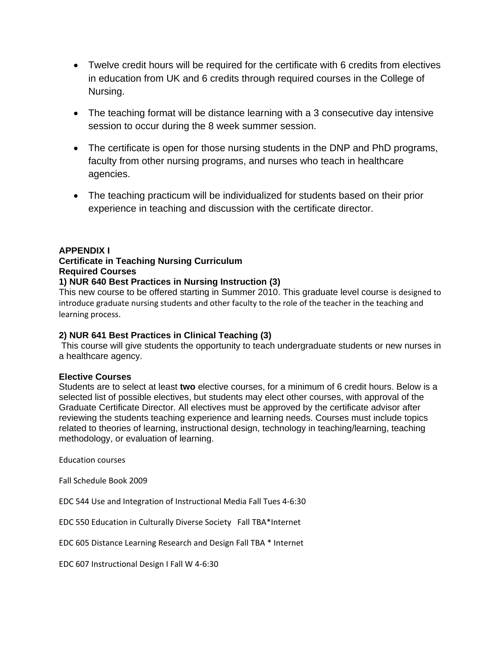- Twelve credit hours will be required for the certificate with 6 credits from electives in education from UK and 6 credits through required courses in the College of Nursing.
- The teaching format will be distance learning with a 3 consecutive day intensive session to occur during the 8 week summer session.
- The certificate is open for those nursing students in the DNP and PhD programs, faculty from other nursing programs, and nurses who teach in healthcare agencies.
- The teaching practicum will be individualized for students based on their prior experience in teaching and discussion with the certificate director.

#### **APPENDIX I**

## **Certificate in Teaching Nursing Curriculum**

**Required Courses** 

#### **1) NUR 640 Best Practices in Nursing Instruction (3)**

This new course to be offered starting in Summer 2010. This graduate level course is designed to introduce graduate nursing students and other faculty to the role of the teacher in the teaching and learning process.

#### **2) NUR 641 Best Practices in Clinical Teaching (3)**

This course will give students the opportunity to teach undergraduate students or new nurses in a healthcare agency.

#### **Elective Courses**

Students are to select at least **two** elective courses, for a minimum of 6 credit hours. Below is a selected list of possible electives, but students may elect other courses, with approval of the Graduate Certificate Director. All electives must be approved by the certificate advisor after reviewing the students teaching experience and learning needs. Courses must include topics related to theories of learning, instructional design, technology in teaching/learning, teaching methodology, or evaluation of learning.

Education courses

Fall Schedule Book 2009

EDC 544 Use and Integration of Instructional Media Fall Tues 4‐6:30

EDC 550 Education in Culturally Diverse Society Fall TBA\*Internet

EDC 605 Distance Learning Research and Design Fall TBA \* Internet

EDC 607 Instructional Design I Fall W 4‐6:30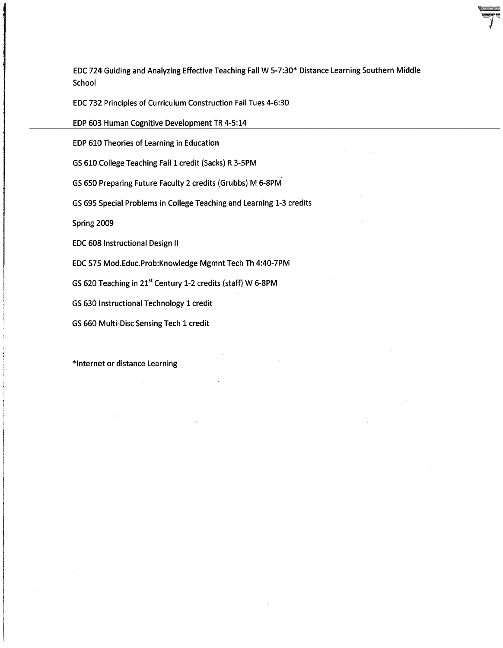EDC 724 Guiding and Analyzing Effective Teaching Fall W 5-7:30\* Distance Learning Southern Middle School

EDC 732 Principles of Curriculum Construction Fall Tues 4-6:30

EDP 603 Human Cognitive Development TR 4-5:14

EDP 610 Theories of Learning in Education

GS 610 College Teaching Fall 1 credit (Sacks) R 3-5PM

GS 650 Preparing Future Faculty 2 credits (Grubbs) M 6-8PM

GS 695 Special Problems in College Teaching and Learning 1-3 credits

Spring 2009

**EDC 608 Instructional Design II** 

EDC 575 Mod.Educ.Prob:Knowledge Mgmnt Tech Th 4:40-7PM

GS 620 Teaching in 21<sup>st</sup> Century 1-2 credits (staff) W 6-8PM

GS 630 Instructional Technology 1 credit

GS 660 Multi-Disc Sensing Tech 1 credit

\*Internet or distance Learning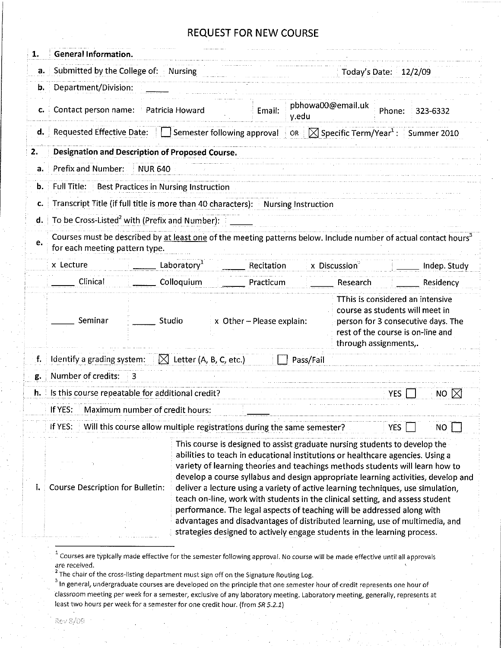| 1. | General Information.                                                                                                                                                                                                                                                                                                                                                                                                                                                                                                                                                                                                                                                                                                                                                               |                                    |            |                            |                           |        |                                                                                                                                                |
|----|------------------------------------------------------------------------------------------------------------------------------------------------------------------------------------------------------------------------------------------------------------------------------------------------------------------------------------------------------------------------------------------------------------------------------------------------------------------------------------------------------------------------------------------------------------------------------------------------------------------------------------------------------------------------------------------------------------------------------------------------------------------------------------|------------------------------------|------------|----------------------------|---------------------------|--------|------------------------------------------------------------------------------------------------------------------------------------------------|
| a. | Submitted by the College of: Nursing<br>Today's Date: 12/2/09                                                                                                                                                                                                                                                                                                                                                                                                                                                                                                                                                                                                                                                                                                                      |                                    |            |                            |                           |        |                                                                                                                                                |
| b. | Department/Division:                                                                                                                                                                                                                                                                                                                                                                                                                                                                                                                                                                                                                                                                                                                                                               |                                    |            |                            |                           |        |                                                                                                                                                |
|    | c. Contact person name: Patricia Howard                                                                                                                                                                                                                                                                                                                                                                                                                                                                                                                                                                                                                                                                                                                                            |                                    | Email:     | pbhowa00@email.uk<br>y.edu |                           | Phone: | 323-6332                                                                                                                                       |
|    | <b>d.</b> Requested Effective Date: $\Box$ Semester following approval $\Box$ OR $\Box$ Specific Term/Year <sup>1</sup> : Summer 2010                                                                                                                                                                                                                                                                                                                                                                                                                                                                                                                                                                                                                                              |                                    |            |                            |                           |        |                                                                                                                                                |
| 2. | Designation and Description of Proposed Course.                                                                                                                                                                                                                                                                                                                                                                                                                                                                                                                                                                                                                                                                                                                                    |                                    |            |                            |                           |        |                                                                                                                                                |
| a. | Prefix and Number: NUR 640                                                                                                                                                                                                                                                                                                                                                                                                                                                                                                                                                                                                                                                                                                                                                         |                                    |            |                            |                           |        |                                                                                                                                                |
| b. | Full Title: Best Practices in Nursing Instruction                                                                                                                                                                                                                                                                                                                                                                                                                                                                                                                                                                                                                                                                                                                                  |                                    |            |                            |                           |        |                                                                                                                                                |
| c. | Transcript Title (if full title is more than 40 characters): Nursing Instruction                                                                                                                                                                                                                                                                                                                                                                                                                                                                                                                                                                                                                                                                                                   |                                    |            |                            |                           |        |                                                                                                                                                |
| d. | To be Cross-Listed <sup>2</sup> with (Prefix and Number):                                                                                                                                                                                                                                                                                                                                                                                                                                                                                                                                                                                                                                                                                                                          |                                    |            |                            |                           |        |                                                                                                                                                |
| е. | Courses must be described by at least one of the meeting patterns below. Include number of actual contact hours <sup>3</sup><br>for each meeting pattern type.                                                                                                                                                                                                                                                                                                                                                                                                                                                                                                                                                                                                                     |                                    |            |                            |                           |        |                                                                                                                                                |
|    | x Lecture                                                                                                                                                                                                                                                                                                                                                                                                                                                                                                                                                                                                                                                                                                                                                                          | Laboratory <sup>1</sup>            | Recitation |                            | x Discussion <sup>3</sup> |        | Indep. Study                                                                                                                                   |
|    | Clinical                                                                                                                                                                                                                                                                                                                                                                                                                                                                                                                                                                                                                                                                                                                                                                           | Colloquium                         | Practicum  |                            | Research                  |        | Residency                                                                                                                                      |
|    | Seminar<br>Studio                                                                                                                                                                                                                                                                                                                                                                                                                                                                                                                                                                                                                                                                                                                                                                  | x Other - Please explain:          |            |                            | through assignments,.     |        | TThis is considered an intensive<br>course as students will meet in<br>person for 3 consecutive days. The<br>rest of the course is on-line and |
| f. | Identify a grading system:                                                                                                                                                                                                                                                                                                                                                                                                                                                                                                                                                                                                                                                                                                                                                         | $\boxtimes$ Letter (A, B, C, etc.) |            | Pass/Fail                  |                           |        |                                                                                                                                                |
| g. | Number of credits:<br>3                                                                                                                                                                                                                                                                                                                                                                                                                                                                                                                                                                                                                                                                                                                                                            |                                    |            |                            |                           |        |                                                                                                                                                |
|    | h. Its this course repeatable for additional credit?                                                                                                                                                                                                                                                                                                                                                                                                                                                                                                                                                                                                                                                                                                                               |                                    |            |                            |                           | YES    | NO $\boxtimes$                                                                                                                                 |
|    | If YES: Maximum number of credit hours:                                                                                                                                                                                                                                                                                                                                                                                                                                                                                                                                                                                                                                                                                                                                            |                                    |            |                            |                           |        |                                                                                                                                                |
|    | Will this course allow multiple registrations during the same semester?<br>$H$ YES:                                                                                                                                                                                                                                                                                                                                                                                                                                                                                                                                                                                                                                                                                                |                                    |            |                            |                           | YES.   | ΝO                                                                                                                                             |
|    | This course is designed to assist graduate nursing students to develop the<br>abilities to teach in educational institutions or healthcare agencies. Using a<br>variety of learning theories and teachings methods students will learn how to<br>develop a course syllabus and design appropriate learning activities, develop and<br>Course Description for Bulletin:<br>deliver a lecture using a variety of active learning techniques, use simulation,<br>teach on-line, work with students in the clinical setting, and assess student<br>performance. The legal aspects of teaching will be addressed along with<br>advantages and disadvantages of distributed learning, use of multimedia, and<br>strategies designed to actively engage students in the learning process. |                                    |            |                            |                           |        |                                                                                                                                                |
|    | Courses are typically made effective for the semester following approval. No course will be made effective until all approvals                                                                                                                                                                                                                                                                                                                                                                                                                                                                                                                                                                                                                                                     |                                    |            |                            |                           |        |                                                                                                                                                |

are received. <sup>2</sup>The chair of the cross-listing department must sign off on the Signature Routing Log.

and the state of the state of the state of the principle that one semester hour of credit represents one hour of classroom meeting per week for a semester, exclusive of any laboratory meeting. Laboratory meeting, generally, represents at least two hours per week for a semester for one credit hour. (from SR 5.2.1)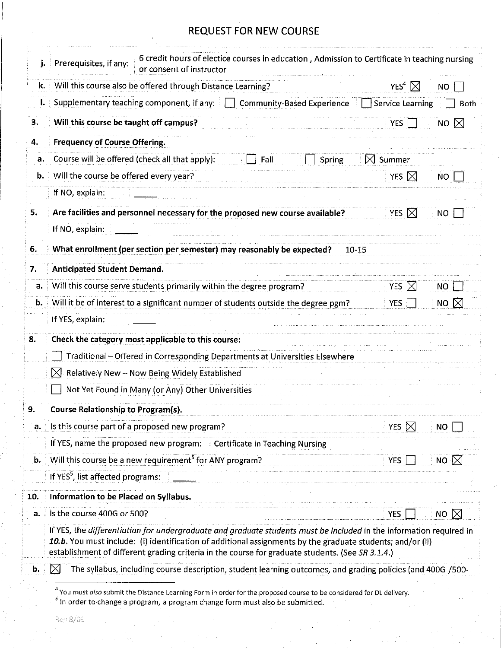| j.  | 6 credit hours of electice courses in education, Admission to Certificate in teaching nursing<br>Prerequisites, if any:<br>or consent of instructor                                                                                                                                                                                   |                              |                |
|-----|---------------------------------------------------------------------------------------------------------------------------------------------------------------------------------------------------------------------------------------------------------------------------------------------------------------------------------------|------------------------------|----------------|
| k.  | Will this course also be offered through Distance Learning?                                                                                                                                                                                                                                                                           | YES <sup>4</sup> $\boxtimes$ | NO.            |
| I.  | Supplementary teaching component, if any: $\Box$ Community-Based Experience                                                                                                                                                                                                                                                           | <b>Service Learning</b>      | Both           |
| 3.  | Will this course be taught off campus?                                                                                                                                                                                                                                                                                                | <b>YES</b>                   | NO $\boxtimes$ |
| 4.  | <b>Frequency of Course Offering.</b>                                                                                                                                                                                                                                                                                                  |                              |                |
| a.  | Course will be offered (check all that apply):<br>Fall<br>Spring                                                                                                                                                                                                                                                                      | $\bowtie$ Summer             |                |
| b.  | Will the course be offered every year?                                                                                                                                                                                                                                                                                                | <b>YES</b><br>$\bowtie$      | NO.            |
|     | If NO, explain:                                                                                                                                                                                                                                                                                                                       |                              |                |
| 5.  | Are facilities and personnel necessary for the proposed new course available?                                                                                                                                                                                                                                                         | YES $\boxtimes$              | NO             |
|     | If NO, explain:                                                                                                                                                                                                                                                                                                                       |                              |                |
| 6.  | What enrollment (per section per semester) may reasonably be expected?<br>$10 - 15$                                                                                                                                                                                                                                                   |                              |                |
| 7.  | <b>Anticipated Student Demand.</b>                                                                                                                                                                                                                                                                                                    |                              |                |
| a.  | Will this course serve students primarily within the degree program?                                                                                                                                                                                                                                                                  | YES $\boxtimes$              | NO.            |
| b.  | Will it be of interest to a significant number of students outside the degree pgm?                                                                                                                                                                                                                                                    | <b>YES</b>                   | NO $\boxtimes$ |
|     | If YES, explain:                                                                                                                                                                                                                                                                                                                      |                              |                |
| 8.  | Check the category most applicable to this course:                                                                                                                                                                                                                                                                                    |                              |                |
|     | Traditional - Offered in Corresponding Departments at Universities Elsewhere                                                                                                                                                                                                                                                          |                              |                |
|     | ⊠<br>Relatively New - Now Being Widely Established                                                                                                                                                                                                                                                                                    |                              |                |
|     | Not Yet Found in Many (or Any) Other Universities                                                                                                                                                                                                                                                                                     |                              |                |
| 9.  | <b>Course Relationship to Program(s).</b>                                                                                                                                                                                                                                                                                             |                              |                |
| a.  | Is this course part of a proposed new program?                                                                                                                                                                                                                                                                                        | <b>YES</b>                   | ΝO             |
|     | If YES, name the proposed new program:  Le Certificate in Teaching Nursing                                                                                                                                                                                                                                                            |                              |                |
| b.  | Will this course be a new requirement <sup>5</sup> for ANY program?                                                                                                                                                                                                                                                                   | <b>YES</b>                   | <b>NO</b>      |
|     | If YES <sup>5</sup> , list affected programs:                                                                                                                                                                                                                                                                                         |                              |                |
| 10. | Information to be Placed on Syllabus.                                                                                                                                                                                                                                                                                                 |                              |                |
| a.  | Is the course 400G or 500?                                                                                                                                                                                                                                                                                                            | <b>YES</b>                   | NO $\boxtimes$ |
|     | If YES, the differentiation for undergraduate and graduate students must be included in the information required in<br>10.b. You must include: (i) identification of additional assignments by the graduate students; and/or (ii)<br>establishment of different grading criteria in the course for graduate students. (See SR 3.1.4.) |                              |                |
| b.  | The syllabus, including course description, student learning outcomes, and grading policies (and 400G-/500-                                                                                                                                                                                                                           |                              |                |

 $^{4}$  You must *also* submit the Distance Learning Form in order for the proposed course to be considered for DL delivery.<br><sup>5</sup> In order to change a program, a program change form must also be submitted.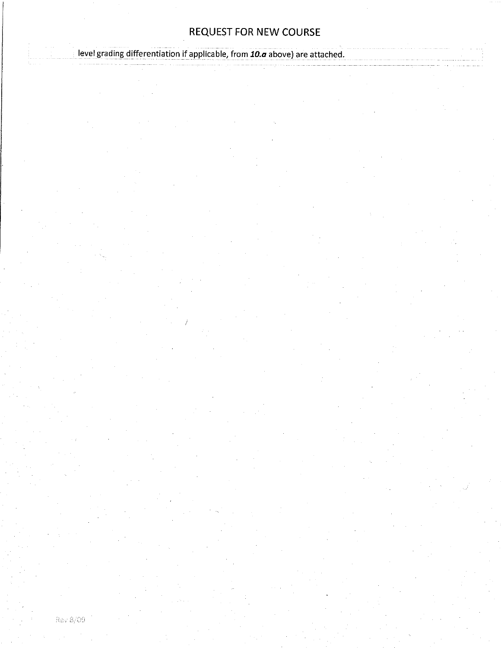level grading differentiation if applicable, from 10.a above) are attached.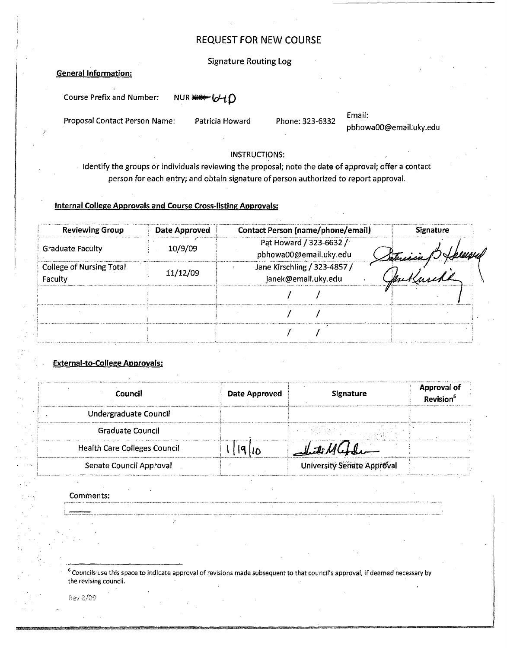#### Signature Routing log

#### General Information:

Course Prefix and Number: NUR \*\*\* 640

Proposal Contact Person Name: Patricia Howard Phone: 323-6332

Email: pbhowaOO@emaiLuky.edu

#### INSTRUCTIONS:

Identify the groups or individuals reviewing the proposal; note the date of approval; offer a contact person for each entry; and obtain signature of person authorized to report approval.

#### Internal College Approvals and Course Cross-listing Approvals:

| <b>Reviewing Group</b>                     | Date Approved | <b>Contact Person (name/phone/email)</b>            | <b>Signature</b> |
|--------------------------------------------|---------------|-----------------------------------------------------|------------------|
| <b>Graduate Faculty</b>                    | 10/9/09       | Pat Howard / 323-6632 /<br>pbhowa00@email.uky.edu   | Setrisiany       |
| <b>College of Nursing Total</b><br>Faculty | 11/12/09      | Jane Kirschling / 323-4857 /<br>janek@email.uky.edu |                  |
|                                            |               |                                                     |                  |
|                                            |               |                                                     |                  |
|                                            |               |                                                     |                  |

#### External-to-College Approvals:

| Council                             | Date Approved | <b>Signature</b>                                                                                                                                        | Approval of<br>Revision <sup>6</sup> |
|-------------------------------------|---------------|---------------------------------------------------------------------------------------------------------------------------------------------------------|--------------------------------------|
| Undergraduate Council               |               |                                                                                                                                                         |                                      |
| Graduate Council                    |               | 计相关 计结构 化非正常 医水杨酸 医异常性 化乙基<br>- Hotel (特別)議論 (http://www.agent.com/<br>- The Contract of Contract of Contract of Contract of Contract of Contract of Co |                                      |
| <b>Health Care Colleges Council</b> |               | idi Muh                                                                                                                                                 |                                      |
| Senate Council Approval             |               | <b>University Senate Approval</b>                                                                                                                       |                                      |

Comments:

<sup>6</sup> Councils use this space to indicate approval of revisions made subsequent to that council's approval, if deemed necessary by the revising council.

Rev 8/09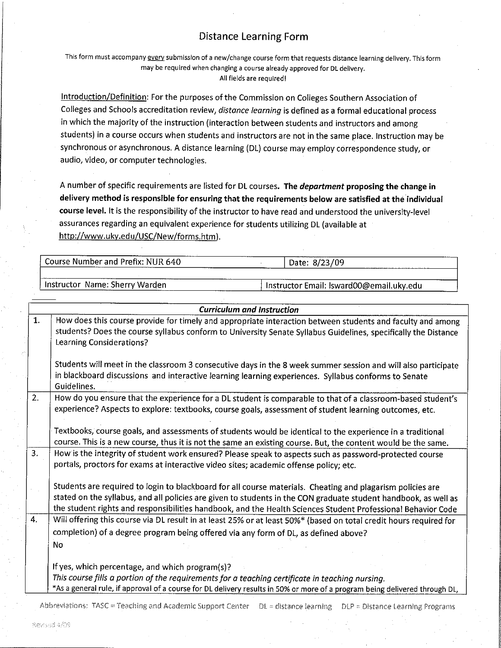## **Distance Learning Form**

This form must accompany every submission of a new/change course form that requests distance learning delivery. This form may be required when changing a course already approved for DL delivery. All fields are required!

Introduction/Definition: For the purposes of the Commission on Colleges Southern Association of Colleges and Schools accreditation review, distance learning is defined as a formal educational process in which the majority of the instruction (interaction between students and instructors and among students) in a course occurs when students and instructors are not in the same place. Instruction may be synchronous or asynchronous. A distance learning (DL) course may employ correspondence study, or audio, video, or computer technologies.

A number of specific requirements are listed for DL courses. The department proposing the change in delivery method is responsible for ensuring that the requirements below are satisfied at the individual course level. It is the responsibility of the instructor to have read and understood the university-level assurances regarding an equivalent experience for students utilizing DL (available at http://www.uky.edu/USC/New/forms.htm).

| Course Number and Prefix: NUR 640 | Date: 8/23/09                            |
|-----------------------------------|------------------------------------------|
|                                   |                                          |
| 'Instructor Name: Sherry Warden   | Instructor Email: Isward00@email.uky.edu |

|    | <b>Curriculum and Instruction</b>                                                                                                                                                                                                                                                                                                             |  |  |  |  |  |
|----|-----------------------------------------------------------------------------------------------------------------------------------------------------------------------------------------------------------------------------------------------------------------------------------------------------------------------------------------------|--|--|--|--|--|
| 1. | How does this course provide for timely and appropriate interaction between students and faculty and among<br>students? Does the course syllabus conform to University Senate Syllabus Guidelines, specifically the Distance<br>Learning Considerations?                                                                                      |  |  |  |  |  |
|    | Students will meet in the classroom 3 consecutive days in the 8 week summer session and will also participate<br>in blackboard discussions and interactive learning learning experiences. Syllabus conforms to Senate<br>Guidelines.                                                                                                          |  |  |  |  |  |
| 2. | How do you ensure that the experience for a DL student is comparable to that of a classroom-based student's<br>experience? Aspects to explore: textbooks, course goals, assessment of student learning outcomes, etc.                                                                                                                         |  |  |  |  |  |
|    | Textbooks, course goals, and assessments of students would be identical to the experience in a traditional.<br>course. This is a new course, thus it is not the same an existing course. But, the content would be the same.                                                                                                                  |  |  |  |  |  |
| 3. | How is the integrity of student work ensured? Please speak to aspects such as password-protected course<br>portals, proctors for exams at interactive video sites; academic offense policy; etc.                                                                                                                                              |  |  |  |  |  |
|    | Students are required to login to blackboard for all course materials. Cheating and plagarism policies are<br>stated on the syllabus, and all policies are given to students in the CON graduate student handbook, as well as<br>the student rights and responsibilities handbook, and the Health Sciences Student Professional Behavior Code |  |  |  |  |  |
| 4. | Will offering this course via DL result in at least 25% or at least 50%* (based on total credit hours required for                                                                                                                                                                                                                            |  |  |  |  |  |
|    | completion) of a degree program being offered via any form of DL, as defined above?                                                                                                                                                                                                                                                           |  |  |  |  |  |
|    | N <sub>o</sub>                                                                                                                                                                                                                                                                                                                                |  |  |  |  |  |
|    | If yes, which percentage, and which program(s)?                                                                                                                                                                                                                                                                                               |  |  |  |  |  |
|    | This course fills a portion of the requirements for a teaching certificate in teaching nursing.                                                                                                                                                                                                                                               |  |  |  |  |  |
|    | *As a general rule, if approval of a course for DL delivery results in 50% or more of a program being delivered through DL,                                                                                                                                                                                                                   |  |  |  |  |  |

Abbreviations: TASC = Teaching and Academic Support Center DL = distance learning DLP = Distance Learning Programs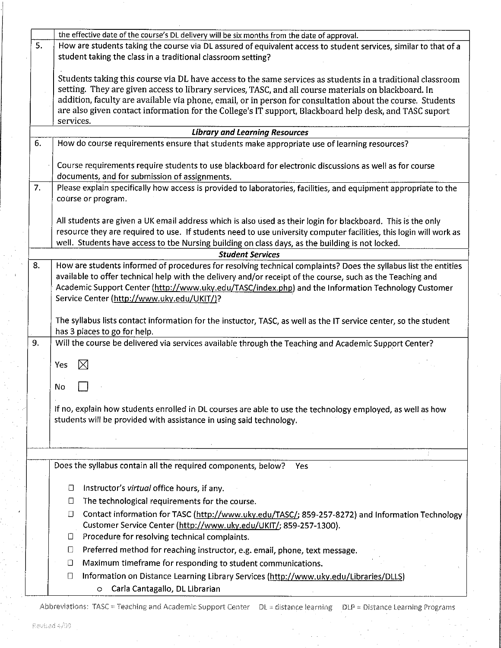|    | the effective date of the course's DL delivery will be six months from the date of approval.                                                             |  |  |  |
|----|----------------------------------------------------------------------------------------------------------------------------------------------------------|--|--|--|
| 5. | How are students taking the course via DL assured of equivalent access to student services, similar to that of a                                         |  |  |  |
|    | student taking the class in a traditional classroom setting?                                                                                             |  |  |  |
|    |                                                                                                                                                          |  |  |  |
|    | Students taking this course via DL have access to the same services as students in a traditional classroom                                               |  |  |  |
|    | setting. They are given access to library services, TASC, and all course materials on blackboard. In                                                     |  |  |  |
|    | addition, faculty are available via phone, email, or in person for consultation about the course. Students                                               |  |  |  |
|    | are also given contact information for the College's IT support, Blackboard help desk, and TASC suport                                                   |  |  |  |
|    | services.                                                                                                                                                |  |  |  |
|    | <b>Library and Learning Resources</b>                                                                                                                    |  |  |  |
| 6. | How do course requirements ensure that students make appropriate use of learning resources?                                                              |  |  |  |
|    | Course requirements require students to use blackboard for electronic discussions as well as for course<br>documents, and for submission of assignments. |  |  |  |
| 7. | Please explain specifically how access is provided to laboratories, facilities, and equipment appropriate to the                                         |  |  |  |
|    | course or program.                                                                                                                                       |  |  |  |
|    |                                                                                                                                                          |  |  |  |
|    | All students are given a UK email address which is also used as their login for blackboard. This is the only                                             |  |  |  |
|    | resource they are required to use. If students need to use university computer facilities, this login will work as                                       |  |  |  |
|    | well. Students have access to tbe Nursing building on class days, as the building is not locked.                                                         |  |  |  |
|    | <b>Student Services</b>                                                                                                                                  |  |  |  |
| 8. | How are students informed of procedures for resolving technical complaints? Does the syllabus list the entities                                          |  |  |  |
|    | available to offer technical help with the delivery and/or receipt of the course, such as the Teaching and                                               |  |  |  |
|    | Academic Support Center (http://www.uky.edu/TASC/index.php) and the Information Technology Customer                                                      |  |  |  |
|    | Service Center (http://www.uky.edu/UKIT/)?                                                                                                               |  |  |  |
|    |                                                                                                                                                          |  |  |  |
|    | The syllabus lists contact information for the instuctor, TASC, as well as the IT service center, so the student                                         |  |  |  |
|    | has 3 places to go for help.                                                                                                                             |  |  |  |
| 9. | Will the course be delivered via services available through the Teaching and Academic Support Center?                                                    |  |  |  |
|    |                                                                                                                                                          |  |  |  |
|    | $\boxtimes$<br>Yes                                                                                                                                       |  |  |  |
|    |                                                                                                                                                          |  |  |  |
|    | No                                                                                                                                                       |  |  |  |
|    |                                                                                                                                                          |  |  |  |
|    | If no, explain how students enrolled in DL courses are able to use the technology employed, as well as how                                               |  |  |  |
|    | students will be provided with assistance in using said technology.                                                                                      |  |  |  |
|    |                                                                                                                                                          |  |  |  |
|    |                                                                                                                                                          |  |  |  |
|    |                                                                                                                                                          |  |  |  |
|    | Does the syllabus contain all the required components, below?<br>Yes                                                                                     |  |  |  |
|    |                                                                                                                                                          |  |  |  |
|    | Instructor's virtual office hours, if any.<br>$\Box$                                                                                                     |  |  |  |
|    | The technological requirements for the course.<br>$\Box$                                                                                                 |  |  |  |
|    | Contact information for TASC (http://www.uky.edu/TASC/; 859-257-8272) and Information Technology<br>$\Box$                                               |  |  |  |
|    | Customer Service Center (http://www.uky.edu/UKIT/; 859-257-1300).                                                                                        |  |  |  |
|    | Procedure for resolving technical complaints.<br>⊔                                                                                                       |  |  |  |
|    | Preferred method for reaching instructor, e.g. email, phone, text message.<br>□                                                                          |  |  |  |
|    | Maximum timeframe for responding to student communications.<br>⊔                                                                                         |  |  |  |
|    | Information on Distance Learning Library Services (http://www.uky.edu/Libraries/DLLS)<br>□                                                               |  |  |  |
|    | Carla Cantagallo, DL Librarian                                                                                                                           |  |  |  |
|    | $\circ$                                                                                                                                                  |  |  |  |

Abbreviations: TASC = Teaching and Academic Support Center DL = distance learning DLP = Distance Learning Programs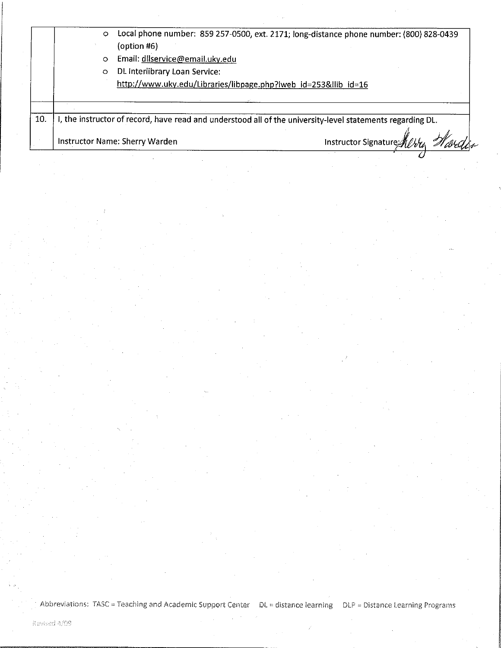|     | $\circ$ | $($ option #6 $)$                                               | Local phone number: 859 257-0500, ext. 2171; long-distance phone number: (800) 828-0439                    |
|-----|---------|-----------------------------------------------------------------|------------------------------------------------------------------------------------------------------------|
|     | $\circ$ | Email: dllservice@email.uky.edu                                 |                                                                                                            |
|     | $\circ$ | DL Interlibrary Loan Service:                                   |                                                                                                            |
|     |         | http://www.uky.edu/Libraries/libpage.php?lweb_id=253&llib_id=16 |                                                                                                            |
|     |         |                                                                 |                                                                                                            |
| 10. |         |                                                                 | I, the instructor of record, have read and understood all of the university-level statements regarding DL. |
|     |         | Instructor Name: Sherry Warden                                  | Instructor Signature 11                                                                                    |

Abbreviations: TASC = Teaching and Academic Support Center DL = distance learning DLP = Distance Learning Programs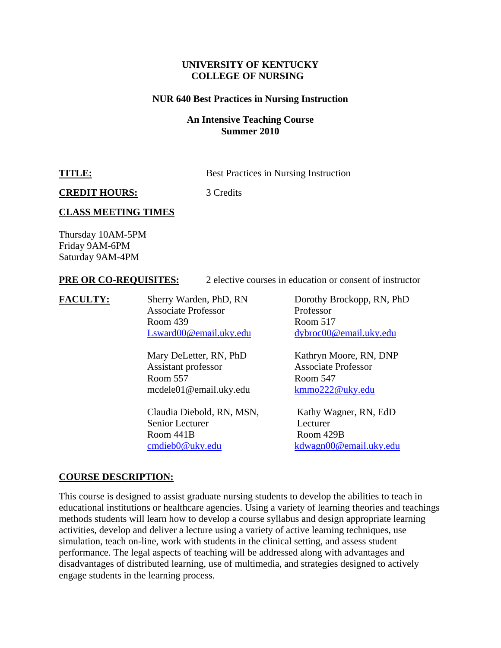#### **UNIVERSITY OF KENTUCKY COLLEGE OF NURSING**

#### **NUR 640 Best Practices in Nursing Instruction**

#### **An Intensive Teaching Course Summer 2010**

**TITLE:** Best Practices in Nursing Instruction

**CREDIT HOURS:** 3 Credits

#### **CLASS MEETING TIMES**

Thursday 10AM-5PM Friday 9AM-6PM Saturday 9AM-4PM

#### **PRE OR CO-REQUISITES:** 2 elective courses in education or consent of instructor

**FACULTY:** Sherry Warden, PhD, RN Dorothy Brockopp, RN, PhD Associate Professor Professor Room 439 Room 517

> Assistant professor Associate Professor Room 557 Room 547 mcdele01@email.uky.edu kmmo222@uky.edu

Claudia Diebold, RN, MSN, Kathy Wagner, RN, EdD Senior Lecturer Lecturer Room 441B Room 429B cmdieb0@uky.edu kdwagn00@email.uky.edu

Lsward00@email.uky.edu dybroc00@email.uky.edu

Mary DeLetter, RN, PhD Kathryn Moore, RN, DNP

#### **COURSE DESCRIPTION:**

This course is designed to assist graduate nursing students to develop the abilities to teach in educational institutions or healthcare agencies. Using a variety of learning theories and teachings methods students will learn how to develop a course syllabus and design appropriate learning activities, develop and deliver a lecture using a variety of active learning techniques, use simulation, teach on-line, work with students in the clinical setting, and assess student performance. The legal aspects of teaching will be addressed along with advantages and disadvantages of distributed learning, use of multimedia, and strategies designed to actively engage students in the learning process.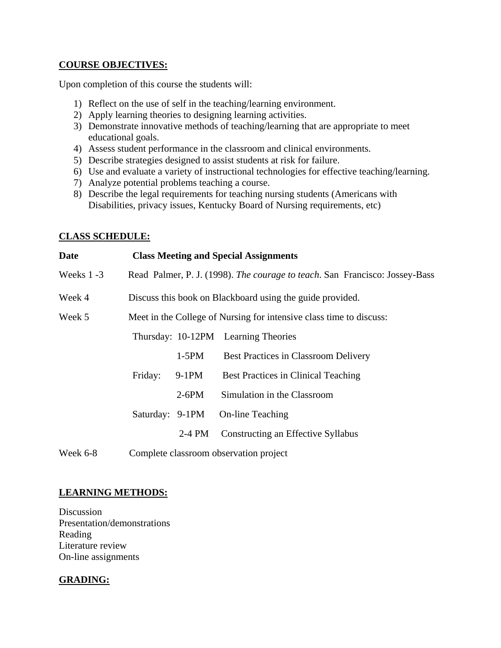#### **COURSE OBJECTIVES:**

Upon completion of this course the students will:

- 1) Reflect on the use of self in the teaching/learning environment.
- 2) Apply learning theories to designing learning activities.
- 3) Demonstrate innovative methods of teaching/learning that are appropriate to meet educational goals.
- 4) Assess student performance in the classroom and clinical environments.
- 5) Describe strategies designed to assist students at risk for failure.
- 6) Use and evaluate a variety of instructional technologies for effective teaching/learning.
- 7) Analyze potential problems teaching a course.
- 8) Describe the legal requirements for teaching nursing students (Americans with Disabilities, privacy issues, Kentucky Board of Nursing requirements, etc)

#### **CLASS SCHEDULE:**

| <b>Date</b>                                                                   | <b>Class Meeting and Special Assignments</b>                                |          |                                            |  |
|-------------------------------------------------------------------------------|-----------------------------------------------------------------------------|----------|--------------------------------------------|--|
| Weeks $1 - 3$                                                                 | Read Palmer, P. J. (1998). The courage to teach. San Francisco: Jossey-Bass |          |                                            |  |
| Week 4                                                                        | Discuss this book on Blackboard using the guide provided.                   |          |                                            |  |
| Week 5<br>Meet in the College of Nursing for intensive class time to discuss: |                                                                             |          |                                            |  |
|                                                                               |                                                                             |          | Thursday: 10-12PM Learning Theories        |  |
| $1-5PM$                                                                       |                                                                             |          | Best Practices in Classroom Delivery       |  |
|                                                                               | Friday:                                                                     | $9-1PM$  | <b>Best Practices in Clinical Teaching</b> |  |
|                                                                               |                                                                             | $2-6PM$  | Simulation in the Classroom                |  |
|                                                                               | Saturday: 9-1PM                                                             |          | On-line Teaching                           |  |
|                                                                               |                                                                             | $2-4$ PM | Constructing an Effective Syllabus         |  |
| Week 6-8                                                                      | Complete classroom observation project                                      |          |                                            |  |

## **LEARNING METHODS:**

**Discussion** Presentation/demonstrations Reading Literature review On-line assignments

## **GRADING:**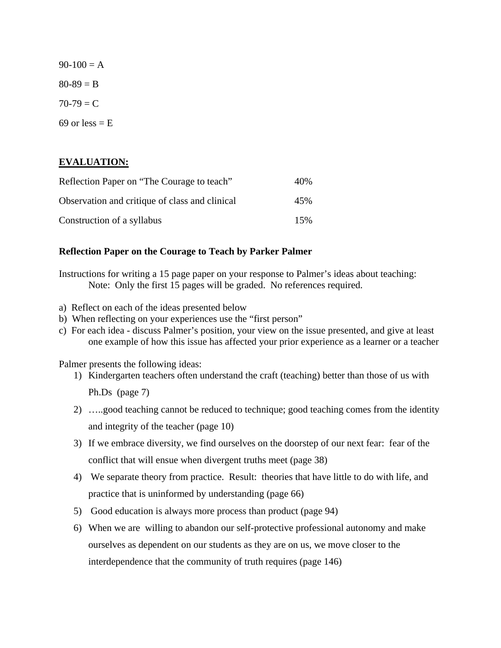$90-100 = A$  $80 - 89 = B$  $70-79 = C$ 69 or less  $=$  E

## **EVALUATION:**

| Reflection Paper on "The Courage to teach"     | 40% |
|------------------------------------------------|-----|
| Observation and critique of class and clinical | 45% |
| Construction of a syllabus                     | 15% |

#### **Reflection Paper on the Courage to Teach by Parker Palmer**

Instructions for writing a 15 page paper on your response to Palmer's ideas about teaching: Note: Only the first 15 pages will be graded. No references required.

- a) Reflect on each of the ideas presented below
- b) When reflecting on your experiences use the "first person"
- c) For each idea discuss Palmer's position, your view on the issue presented, and give at least one example of how this issue has affected your prior experience as a learner or a teacher

Palmer presents the following ideas:

- 1) Kindergarten teachers often understand the craft (teaching) better than those of us with Ph.Ds (page 7)
- 2) …..good teaching cannot be reduced to technique; good teaching comes from the identity and integrity of the teacher (page 10)
- 3) If we embrace diversity, we find ourselves on the doorstep of our next fear: fear of the conflict that will ensue when divergent truths meet (page 38)
- 4) We separate theory from practice. Result: theories that have little to do with life, and practice that is uninformed by understanding (page 66)
- 5) Good education is always more process than product (page 94)
- 6) When we are willing to abandon our self-protective professional autonomy and make ourselves as dependent on our students as they are on us, we move closer to the interdependence that the community of truth requires (page 146)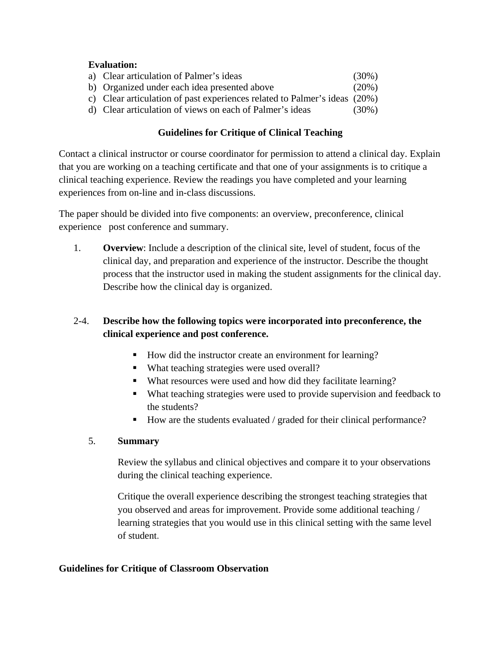## **Evaluation:**

| a) Clear articulation of Palmer's ideas                                   | $(30\%)$ |
|---------------------------------------------------------------------------|----------|
| b) Organized under each idea presented above                              | $(20\%)$ |
| c) Clear articulation of past experiences related to Palmer's ideas (20%) |          |
| d) Clear articulation of views on each of Palmer's ideas                  | $(30\%)$ |

## **Guidelines for Critique of Clinical Teaching**

Contact a clinical instructor or course coordinator for permission to attend a clinical day. Explain that you are working on a teaching certificate and that one of your assignments is to critique a clinical teaching experience. Review the readings you have completed and your learning experiences from on-line and in-class discussions.

The paper should be divided into five components: an overview, preconference, clinical experience post conference and summary.

1. **Overview**: Include a description of the clinical site, level of student, focus of the clinical day, and preparation and experience of the instructor. Describe the thought process that the instructor used in making the student assignments for the clinical day. Describe how the clinical day is organized.

## 2-4. **Describe how the following topics were incorporated into preconference, the clinical experience and post conference.**

- How did the instructor create an environment for learning?
- What teaching strategies were used overall?
- What resources were used and how did they facilitate learning?
- What teaching strategies were used to provide supervision and feedback to the students?
- How are the students evaluated / graded for their clinical performance?

## 5. **Summary**

Review the syllabus and clinical objectives and compare it to your observations during the clinical teaching experience.

Critique the overall experience describing the strongest teaching strategies that you observed and areas for improvement. Provide some additional teaching / learning strategies that you would use in this clinical setting with the same level of student.

## **Guidelines for Critique of Classroom Observation**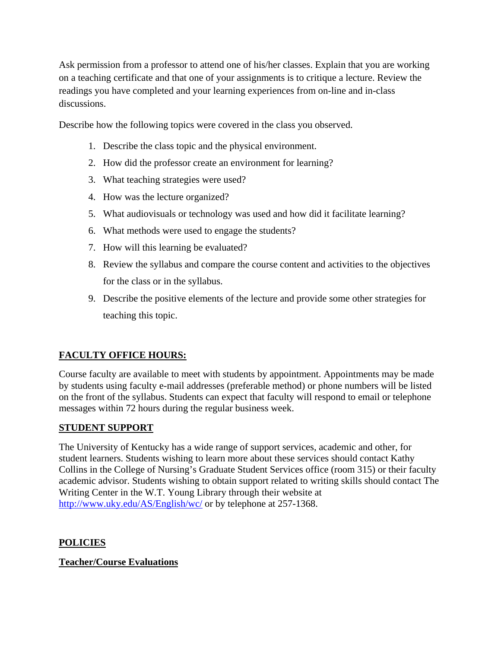Ask permission from a professor to attend one of his/her classes. Explain that you are working on a teaching certificate and that one of your assignments is to critique a lecture. Review the readings you have completed and your learning experiences from on-line and in-class discussions.

Describe how the following topics were covered in the class you observed.

- 1. Describe the class topic and the physical environment.
- 2. How did the professor create an environment for learning?
- 3. What teaching strategies were used?
- 4. How was the lecture organized?
- 5. What audiovisuals or technology was used and how did it facilitate learning?
- 6. What methods were used to engage the students?
- 7. How will this learning be evaluated?
- 8. Review the syllabus and compare the course content and activities to the objectives for the class or in the syllabus.
- 9. Describe the positive elements of the lecture and provide some other strategies for teaching this topic.

## **FACULTY OFFICE HOURS:**

Course faculty are available to meet with students by appointment. Appointments may be made by students using faculty e-mail addresses (preferable method) or phone numbers will be listed on the front of the syllabus. Students can expect that faculty will respond to email or telephone messages within 72 hours during the regular business week.

## **STUDENT SUPPORT**

The University of Kentucky has a wide range of support services, academic and other, for student learners. Students wishing to learn more about these services should contact Kathy Collins in the College of Nursing's Graduate Student Services office (room 315) or their faculty academic advisor. Students wishing to obtain support related to writing skills should contact The Writing Center in the W.T. Young Library through their website at http://www.uky.edu/AS/English/wc/ or by telephone at 257-1368.

## **POLICIES**

## **Teacher/Course Evaluations**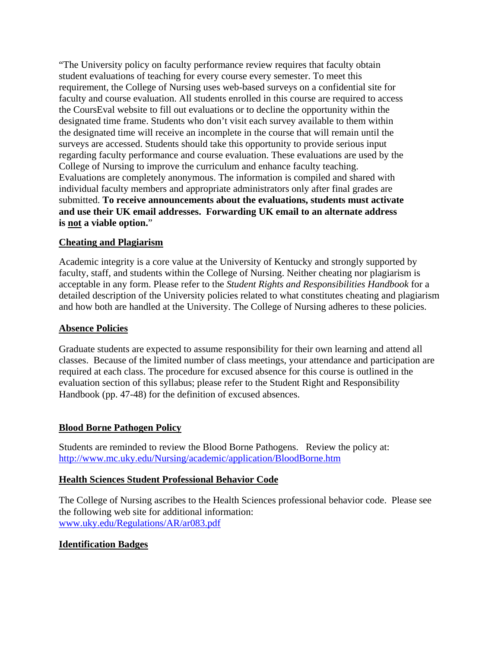"The University policy on faculty performance review requires that faculty obtain student evaluations of teaching for every course every semester. To meet this requirement, the College of Nursing uses web-based surveys on a confidential site for faculty and course evaluation. All students enrolled in this course are required to access the CoursEval website to fill out evaluations or to decline the opportunity within the designated time frame. Students who don't visit each survey available to them within the designated time will receive an incomplete in the course that will remain until the surveys are accessed. Students should take this opportunity to provide serious input regarding faculty performance and course evaluation. These evaluations are used by the College of Nursing to improve the curriculum and enhance faculty teaching. Evaluations are completely anonymous. The information is compiled and shared with individual faculty members and appropriate administrators only after final grades are submitted. **To receive announcements about the evaluations, students must activate and use their UK email addresses. Forwarding UK email to an alternate address is not a viable option.**"

## **Cheating and Plagiarism**

Academic integrity is a core value at the University of Kentucky and strongly supported by faculty, staff, and students within the College of Nursing. Neither cheating nor plagiarism is acceptable in any form. Please refer to the *Student Rights and Responsibilities Handbook* for a detailed description of the University policies related to what constitutes cheating and plagiarism and how both are handled at the University. The College of Nursing adheres to these policies.

#### **Absence Policies**

Graduate students are expected to assume responsibility for their own learning and attend all classes. Because of the limited number of class meetings, your attendance and participation are required at each class. The procedure for excused absence for this course is outlined in the evaluation section of this syllabus; please refer to the Student Right and Responsibility Handbook (pp. 47-48) for the definition of excused absences.

#### **Blood Borne Pathogen Policy**

Students are reminded to review the Blood Borne Pathogens. Review the policy at: http://www.mc.uky.edu/Nursing/academic/application/BloodBorne.htm

#### **Health Sciences Student Professional Behavior Code**

The College of Nursing ascribes to the Health Sciences professional behavior code. Please see the following web site for additional information: www.uky.edu/Regulations/AR/ar083.pdf

#### **Identification Badges**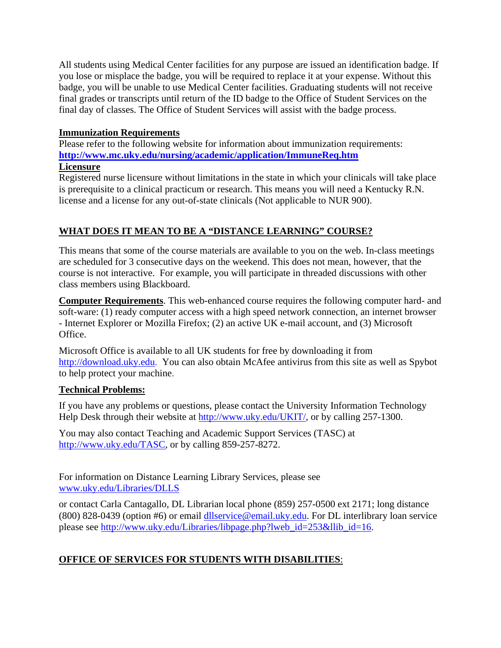All students using Medical Center facilities for any purpose are issued an identification badge. If you lose or misplace the badge, you will be required to replace it at your expense. Without this badge, you will be unable to use Medical Center facilities. Graduating students will not receive final grades or transcripts until return of the ID badge to the Office of Student Services on the final day of classes. The Office of Student Services will assist with the badge process.

## **Immunization Requirements**

Please refer to the following website for information about immunization requirements: **http://www.mc.uky.edu/nursing/academic/application/ImmuneReq.htm**

#### **Licensure**

Registered nurse licensure without limitations in the state in which your clinicals will take place is prerequisite to a clinical practicum or research. This means you will need a Kentucky R.N. license and a license for any out-of-state clinicals (Not applicable to NUR 900).

## **WHAT DOES IT MEAN TO BE A "DISTANCE LEARNING" COURSE?**

This means that some of the course materials are available to you on the web. In-class meetings are scheduled for 3 consecutive days on the weekend. This does not mean, however, that the course is not interactive. For example, you will participate in threaded discussions with other class members using Blackboard.

**Computer Requirements**. This web-enhanced course requires the following computer hard- and soft-ware: (1) ready computer access with a high speed network connection, an internet browser - Internet Explorer or Mozilla Firefox; (2) an active UK e-mail account, and (3) Microsoft Office.

Microsoft Office is available to all UK students for free by downloading it from http://download.uky.edu. You can also obtain McAfee antivirus from this site as well as Spybot to help protect your machine.

## **Technical Problems:**

If you have any problems or questions, please contact the University Information Technology Help Desk through their website at http://www.uky.edu/UKIT/, or by calling 257-1300.

You may also contact Teaching and Academic Support Services (TASC) at http://www.uky.edu/TASC, or by calling 859-257-8272.

For information on Distance Learning Library Services, please see www.uky.edu/Libraries/DLLS

or contact Carla Cantagallo, DL Librarian local phone (859) 257-0500 ext 2171; long distance (800) 828-0439 (option #6) or email dllservice@email.uky.edu. For DL interlibrary loan service please see http://www.uky.edu/Libraries/libpage.php?lweb\_id=253&llib\_id=16.

## **OFFICE OF SERVICES FOR STUDENTS WITH DISABILITIES**: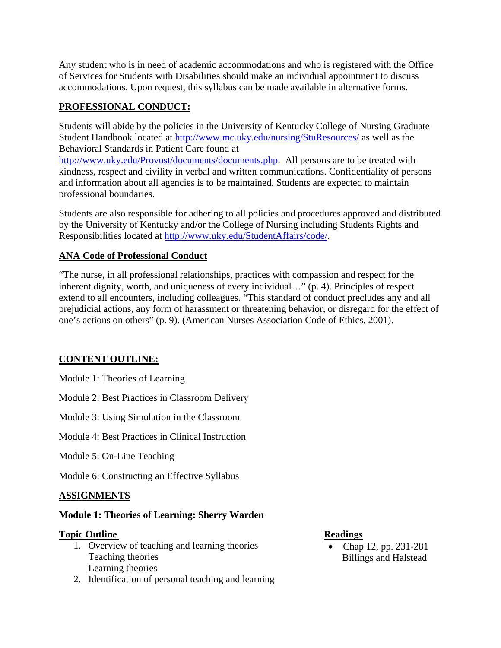Any student who is in need of academic accommodations and who is registered with the Office of Services for Students with Disabilities should make an individual appointment to discuss accommodations. Upon request, this syllabus can be made available in alternative forms.

## **PROFESSIONAL CONDUCT:**

Students will abide by the policies in the University of Kentucky College of Nursing Graduate Student Handbook located at http://www.mc.uky.edu/nursing/StuResources/ as well as the Behavioral Standards in Patient Care found at

http://www.uky.edu/Provost/documents/documents.php. All persons are to be treated with kindness, respect and civility in verbal and written communications. Confidentiality of persons and information about all agencies is to be maintained. Students are expected to maintain professional boundaries.

Students are also responsible for adhering to all policies and procedures approved and distributed by the University of Kentucky and/or the College of Nursing including Students Rights and Responsibilities located at http://www.uky.edu/StudentAffairs/code/.

## **ANA Code of Professional Conduct**

"The nurse, in all professional relationships, practices with compassion and respect for the inherent dignity, worth, and uniqueness of every individual…" (p. 4). Principles of respect extend to all encounters, including colleagues. "This standard of conduct precludes any and all prejudicial actions, any form of harassment or threatening behavior, or disregard for the effect of one's actions on others" (p. 9). (American Nurses Association Code of Ethics, 2001).

## **CONTENT OUTLINE:**

Module 1: Theories of Learning

Module 2: Best Practices in Classroom Delivery

Module 3: Using Simulation in the Classroom

Module 4: Best Practices in Clinical Instruction

Module 5: On-Line Teaching

Module 6: Constructing an Effective Syllabus

## **ASSIGNMENTS**

## **Module 1: Theories of Learning: Sherry Warden**

#### **Topic Outline Readings**

- 1. Overview of teaching and learning theories Teaching theories Learning theories
- 2. Identification of personal teaching and learning

• Chap 12, pp. 231-281 Billings and Halstead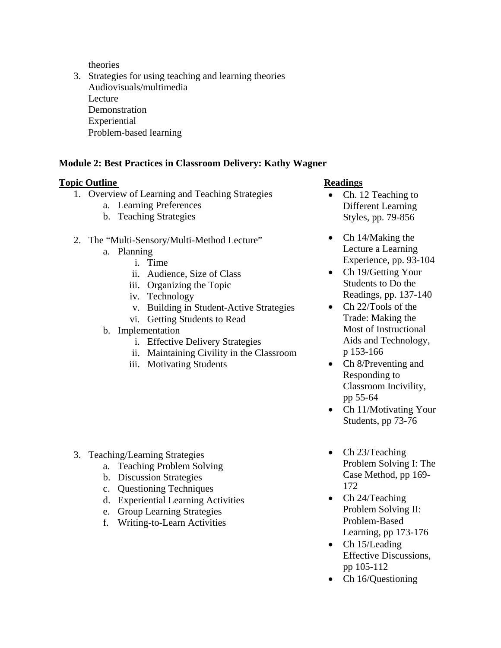theories

3. Strategies for using teaching and learning theories Audiovisuals/multimedia **Lecture Demonstration** Experiential Problem-based learning

## **Module 2: Best Practices in Classroom Delivery: Kathy Wagner**

#### **Topic Outline Community Community Community Community Readings**

- 1. Overview of Learning and Teaching Strategies
	- a. Learning Preferences
	- b. Teaching Strategies
- 2. The "Multi-Sensory/Multi-Method Lecture"
	- a. Planning
		- i. Time
		- ii. Audience, Size of Class
		- iii. Organizing the Topic
		- iv. Technology
		- v. Building in Student-Active Strategies
		- vi. Getting Students to Read
	- b. Implementation
		- i. Effective Delivery Strategies
		- ii. Maintaining Civility in the Classroom
		- iii. Motivating Students

- 3. Teaching/Learning Strategies
	- a. Teaching Problem Solving
	- b. Discussion Strategies
	- c. Questioning Techniques
	- d. Experiential Learning Activities
	- e. Group Learning Strategies
	- f. Writing-to-Learn Activities

- Ch. 12 Teaching to Different Learning Styles, pp. 79-856
- Ch 14/Making the Lecture a Learning Experience, pp. 93-104
- Ch 19/Getting Your Students to Do the Readings, pp. 137-140
- Ch 22/Tools of the Trade: Making the Most of Instructional Aids and Technology, p 153-166
- Ch 8/Preventing and Responding to Classroom Incivility, pp 55-64
- Ch 11/Motivating Your Students, pp 73-76
- Ch 23/Teaching Problem Solving I: The Case Method, pp 169- 172
- Ch 24/Teaching Problem Solving II: Problem-Based Learning, pp 173-176
- Ch 15/Leading Effective Discussions, pp 105-112
- Ch 16/Questioning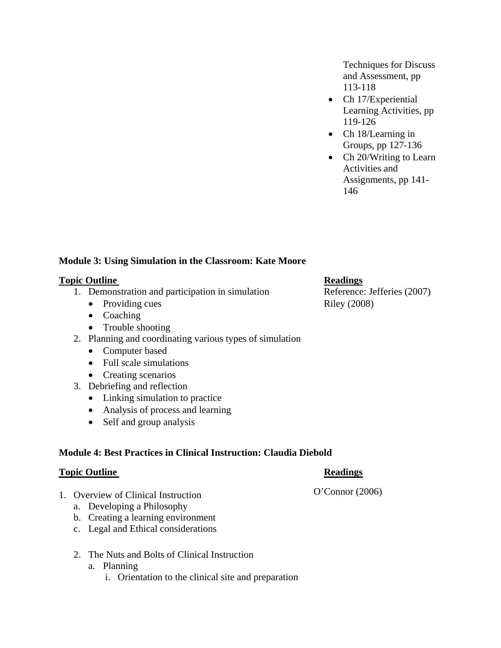Techniques for Discuss and Assessment, pp 113-118

- Ch 17/Experiential Learning Activities, pp 119-126
- Ch 18/Learning in Groups, pp 127-136
- Ch 20/Writing to Learn Activities and Assignments, pp 141- 146

## **Module 3: Using Simulation in the Classroom: Kate Moore**

#### **Topic Outline Readings**

- 1. Demonstration and participation in simulation Reference: Jefferies (2007)
	- Providing cues Riley (2008)
	- Coaching
	- Trouble shooting
- 2. Planning and coordinating various types of simulation
	- Computer based
	- Full scale simulations
	- Creating scenarios
- 3. Debriefing and reflection
	- Linking simulation to practice
	- Analysis of process and learning
	- Self and group analysis

#### **Module 4: Best Practices in Clinical Instruction: Claudia Diebold**

#### **Topic Outline Readings**

- 1. Overview of Clinical Instruction
	- a. Developing a Philosophy
	- b. Creating a learning environment
	- c. Legal and Ethical considerations
	- 2. The Nuts and Bolts of Clinical Instruction
		- a. Planning
			- i. Orientation to the clinical site and preparation

O'Connor (2006)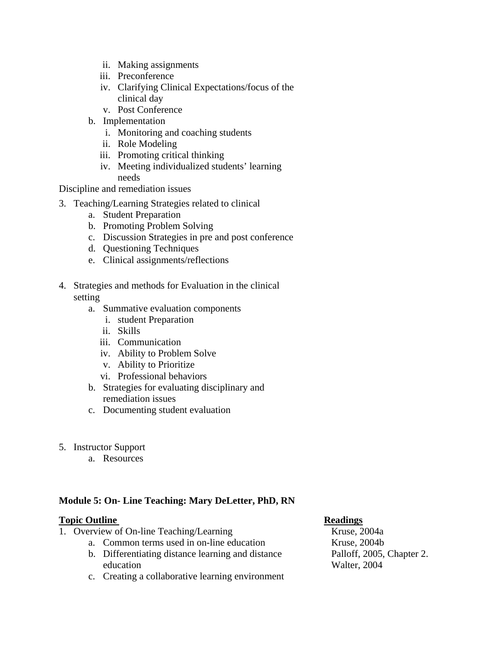- ii. Making assignments
- iii. Preconference
- iv. Clarifying Clinical Expectations/focus of the clinical day
- v. Post Conference
- b. Implementation
	- i. Monitoring and coaching students
	- ii. Role Modeling
	- iii. Promoting critical thinking
	- iv. Meeting individualized students' learning needs

Discipline and remediation issues

- 3. Teaching/Learning Strategies related to clinical
	- a. Student Preparation
	- b. Promoting Problem Solving
	- c. Discussion Strategies in pre and post conference
	- d. Questioning Techniques
	- e. Clinical assignments/reflections
- 4. Strategies and methods for Evaluation in the clinical setting
	- a. Summative evaluation components
		- i. student Preparation
		- ii. Skills
		- iii. Communication
		- iv. Ability to Problem Solve
		- v. Ability to Prioritize
		- vi. Professional behaviors
	- b. Strategies for evaluating disciplinary and remediation issues
	- c. Documenting student evaluation
- 5. Instructor Support
	- a. Resources

## **Module 5: On- Line Teaching: Mary DeLetter, PhD, RN**

#### **Topic Outline Community Community Community Community Readings**

- 1. Overview of On-line Teaching/Learning
	- a. Common terms used in on-line education
	- b. Differentiating distance learning and distance education
	- c. Creating a collaborative learning environment

Kruse, 2004a Kruse, 2004b Palloff, 2005, Chapter 2. Walter, 2004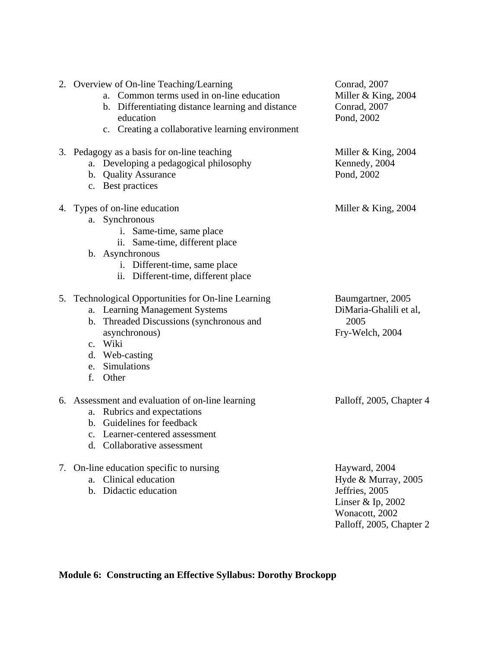| 2. Overview of On-line Teaching/Learning<br>a. Common terms used in on-line education<br>b. Differentiating distance learning and distance<br>education<br>c. Creating a collaborative learning environment      | Conrad, 2007<br>Miller & King, $2004$<br>Conrad, 2007<br>Pond, 2002                                                       |
|------------------------------------------------------------------------------------------------------------------------------------------------------------------------------------------------------------------|---------------------------------------------------------------------------------------------------------------------------|
| 3. Pedagogy as a basis for on-line teaching<br>a. Developing a pedagogical philosophy<br>b. Quality Assurance<br>c. Best practices                                                                               | Miller $&$ King, 2004<br>Kennedy, 2004<br>Pond, 2002                                                                      |
| 4. Types of on-line education<br>a. Synchronous<br>i. Same-time, same place<br>ii. Same-time, different place<br>b. Asynchronous<br>i. Different-time, same place<br>ii. Different-time, different place         | Miller $&$ King, 2004                                                                                                     |
| 5. Technological Opportunities for On-line Learning<br>a. Learning Management Systems<br>b. Threaded Discussions (synchronous and<br>asynchronous)<br>c. Wiki<br>d. Web-casting<br>e. Simulations<br>f.<br>Other | Baumgartner, 2005<br>DiMaria-Ghalili et al,<br>2005<br>Fry-Welch, 2004                                                    |
| 6. Assessment and evaluation of on-line learning<br>Rubrics and expectations<br>a.<br>b. Guidelines for feedback<br>c. Learner-centered assessment<br>d. Collaborative assessment                                | Palloff, 2005, Chapter 4                                                                                                  |
| 7. On-line education specific to nursing<br>Clinical education<br>a.<br>Didactic education<br>$h_{-}$                                                                                                            | Hayward, 2004<br>Hyde & Murray, 2005<br>Jeffries, 2005<br>Linser & Ip, 2002<br>Wonacott, 2002<br>Palloff, 2005, Chapter 2 |

**Module 6: Constructing an Effective Syllabus: Dorothy Brockopp**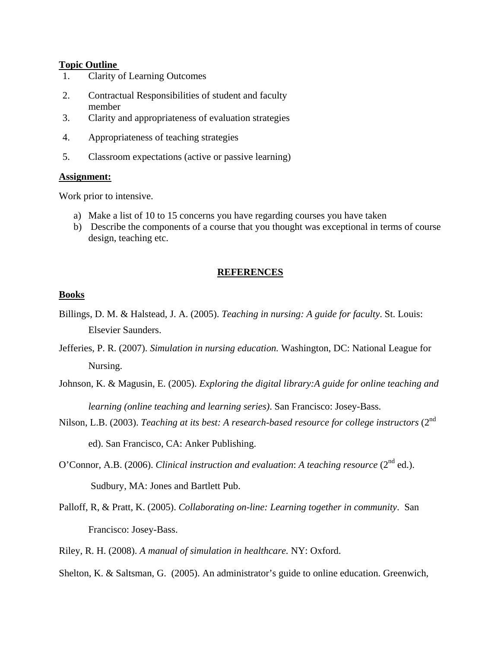#### **Topic Outline**

- 1. Clarity of Learning Outcomes
- 2. Contractual Responsibilities of student and faculty member
- 3. Clarity and appropriateness of evaluation strategies
- 4. Appropriateness of teaching strategies
- 5. Classroom expectations (active or passive learning)

#### **Assignment:**

Work prior to intensive.

- a) Make a list of 10 to 15 concerns you have regarding courses you have taken
- b) Describe the components of a course that you thought was exceptional in terms of course design, teaching etc.

#### **REFERENCES**

#### **Books**

- Billings, D. M. & Halstead, J. A. (2005). *Teaching in nursing: A guide for faculty*. St. Louis: Elsevier Saunders.
- Jefferies, P. R. (2007). *Simulation in nursing education.* Washington, DC: National League for Nursing.
- Johnson, K. & Magusin, E. (2005). *Exploring the digital library:A guide for online teaching and learning (online teaching and learning series)*. San Francisco: Josey-Bass.
- Nilson, L.B. (2003). *Teaching at its best: A research-based resource for college instructors* (2<sup>nd</sup>) ed). San Francisco, CA: Anker Publishing.
- O'Connor, A.B. (2006). *Clinical instruction and evaluation*: *A teaching resource* (2<sup>nd</sup> ed.). Sudbury, MA: Jones and Bartlett Pub.
- Palloff, R, & Pratt, K. (2005). *Collaborating on-line: Learning together in community*. San Francisco: Josey-Bass.
- Riley, R. H. (2008). *A manual of simulation in healthcare.* NY: Oxford.
- Shelton, K. & Saltsman, G. (2005). An administrator's guide to online education. Greenwich,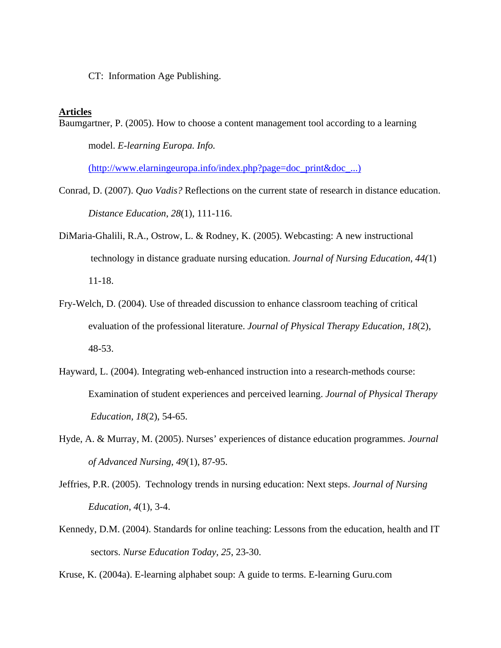CT: Information Age Publishing.

#### **Articles**

Baumgartner, P. (2005). How to choose a content management tool according to a learning model. *E-learning Europa. Info.* 

(http://www.elarningeuropa.info/index.php?page=doc\_print&doc\_...)

- Conrad, D. (2007). *Quo Vadis?* Reflections on the current state of research in distance education. *Distance Education*, *28*(1), 111-116.
- DiMaria-Ghalili, R.A., Ostrow, L. & Rodney, K. (2005). Webcasting: A new instructional technology in distance graduate nursing education. *Journal of Nursing Education*, *44(*1) 11-18.
- Fry-Welch, D. (2004). Use of threaded discussion to enhance classroom teaching of critical evaluation of the professional literature. *Journal of Physical Therapy Education, 18*(2), 48-53.
- Hayward, L. (2004). Integrating web-enhanced instruction into a research-methods course: Examination of student experiences and perceived learning. *Journal of Physical Therapy Education, 18*(2), 54-65.
- Hyde, A. & Murray, M. (2005). Nurses' experiences of distance education programmes. *Journal of Advanced Nursing*, *49*(1), 87-95.
- Jeffries, P.R. (2005). Technology trends in nursing education: Next steps. *Journal of Nursing Education*, *4*(1), 3-4.
- Kennedy, D.M. (2004). Standards for online teaching: Lessons from the education, health and IT sectors. *Nurse Education Today*, *25*, 23-30.

Kruse, K. (2004a). E-learning alphabet soup: A guide to terms. E-learning Guru.com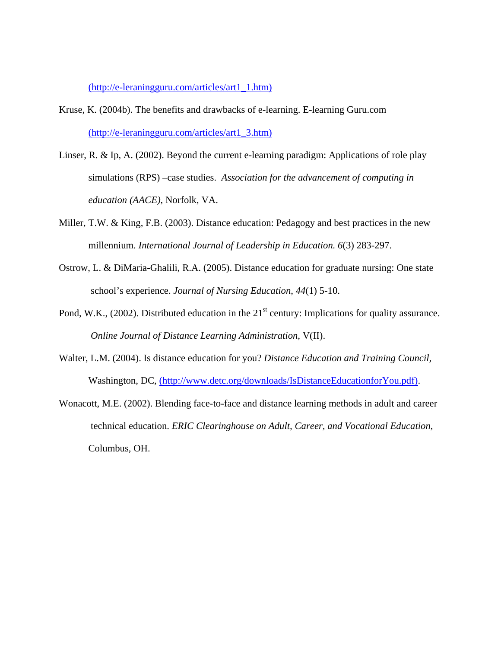(http://e-leraningguru.com/articles/art1\_1.htm)

- Kruse, K. (2004b). The benefits and drawbacks of e-learning. E-learning Guru.com (http://e-leraningguru.com/articles/art1\_3.htm)
- Linser, R. & Ip, A. (2002). Beyond the current e-learning paradigm: Applications of role play simulations (RPS) –case studies. *Association for the advancement of computing in education (AACE),* Norfolk, VA.
- Miller, T.W. & King, F.B. (2003). Distance education: Pedagogy and best practices in the new millennium. *International Journal of Leadership in Education. 6*(3) 283-297.
- Ostrow, L. & DiMaria-Ghalili, R.A. (2005). Distance education for graduate nursing: One state school's experience. *Journal of Nursing Education*, *44*(1) 5-10.
- Pond, W.K.,  $(2002)$ . Distributed education in the  $21<sup>st</sup>$  century: Implications for quality assurance. *Online Journal of Distance Learning Administration*, V(II).
- Walter, L.M. (2004). Is distance education for you? *Distance Education and Training Council,* Washington, DC, (http://www.detc.org/downloads/IsDistanceEducationforYou.pdf).
- Wonacott, M.E. (2002). Blending face-to-face and distance learning methods in adult and career technical education. *ERIC Clearinghouse on Adult, Career, and Vocational Education*, Columbus, OH.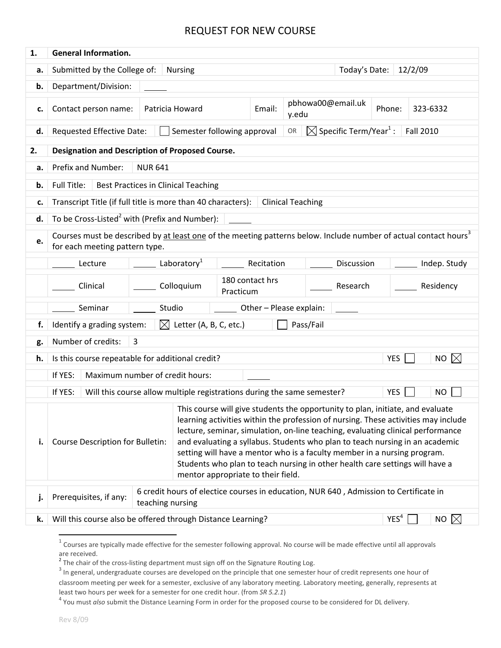| 1. | <b>General Information.</b>                                                                                                                                    |                                                                                                                                     |                                                                                                                                                                                                                                                                                                                                                                                                                                                                                                                                           |                 |       |                   |                    |              |           |  |
|----|----------------------------------------------------------------------------------------------------------------------------------------------------------------|-------------------------------------------------------------------------------------------------------------------------------------|-------------------------------------------------------------------------------------------------------------------------------------------------------------------------------------------------------------------------------------------------------------------------------------------------------------------------------------------------------------------------------------------------------------------------------------------------------------------------------------------------------------------------------------------|-----------------|-------|-------------------|--------------------|--------------|-----------|--|
| a. | Submitted by the College of:<br>Today's Date:<br>12/2/09<br><b>Nursing</b>                                                                                     |                                                                                                                                     |                                                                                                                                                                                                                                                                                                                                                                                                                                                                                                                                           |                 |       |                   |                    |              |           |  |
| b. | Department/Division:                                                                                                                                           |                                                                                                                                     |                                                                                                                                                                                                                                                                                                                                                                                                                                                                                                                                           |                 |       |                   |                    |              |           |  |
| c. | Contact person name:                                                                                                                                           | Patricia Howard                                                                                                                     |                                                                                                                                                                                                                                                                                                                                                                                                                                                                                                                                           |                 | y.edu | pbhowa00@email.uk | Phone:<br>323-6332 |              |           |  |
| d. | $\boxtimes$ Specific Term/Year <sup>1</sup> :<br>Requested Effective Date:<br>Semester following approval<br><b>Fall 2010</b><br>OR                            |                                                                                                                                     |                                                                                                                                                                                                                                                                                                                                                                                                                                                                                                                                           |                 |       |                   |                    |              |           |  |
| 2. | <b>Designation and Description of Proposed Course.</b>                                                                                                         |                                                                                                                                     |                                                                                                                                                                                                                                                                                                                                                                                                                                                                                                                                           |                 |       |                   |                    |              |           |  |
| a. | Prefix and Number:<br><b>NUR 641</b>                                                                                                                           |                                                                                                                                     |                                                                                                                                                                                                                                                                                                                                                                                                                                                                                                                                           |                 |       |                   |                    |              |           |  |
| b. | Full Title:<br><b>Best Practices in Clinical Teaching</b>                                                                                                      |                                                                                                                                     |                                                                                                                                                                                                                                                                                                                                                                                                                                                                                                                                           |                 |       |                   |                    |              |           |  |
| c. | Transcript Title (if full title is more than 40 characters):<br><b>Clinical Teaching</b>                                                                       |                                                                                                                                     |                                                                                                                                                                                                                                                                                                                                                                                                                                                                                                                                           |                 |       |                   |                    |              |           |  |
| d. | To be Cross-Listed <sup>2</sup> with (Prefix and Number):                                                                                                      |                                                                                                                                     |                                                                                                                                                                                                                                                                                                                                                                                                                                                                                                                                           |                 |       |                   |                    |              |           |  |
| e. | Courses must be described by at least one of the meeting patterns below. Include number of actual contact hours <sup>3</sup><br>for each meeting pattern type. |                                                                                                                                     |                                                                                                                                                                                                                                                                                                                                                                                                                                                                                                                                           |                 |       |                   |                    |              |           |  |
|    | Lecture                                                                                                                                                        | Laboratory <sup>1</sup>                                                                                                             | Recitation                                                                                                                                                                                                                                                                                                                                                                                                                                                                                                                                |                 |       | Discussion        |                    | Indep. Study |           |  |
|    |                                                                                                                                                                |                                                                                                                                     |                                                                                                                                                                                                                                                                                                                                                                                                                                                                                                                                           | 180 contact hrs |       |                   |                    |              |           |  |
|    | Clinical                                                                                                                                                       |                                                                                                                                     | Colloquium                                                                                                                                                                                                                                                                                                                                                                                                                                                                                                                                | Practicum       |       |                   | Research           |              | Residency |  |
|    | Seminar<br>Studio<br>Other - Please explain:                                                                                                                   |                                                                                                                                     |                                                                                                                                                                                                                                                                                                                                                                                                                                                                                                                                           |                 |       |                   |                    |              |           |  |
| f. | $\boxtimes$ Letter (A, B, C, etc.)<br>Identify a grading system:<br>Pass/Fail                                                                                  |                                                                                                                                     |                                                                                                                                                                                                                                                                                                                                                                                                                                                                                                                                           |                 |       |                   |                    |              |           |  |
| g. | Number of credits:<br>3                                                                                                                                        |                                                                                                                                     |                                                                                                                                                                                                                                                                                                                                                                                                                                                                                                                                           |                 |       |                   |                    |              |           |  |
| h. | $\boxtimes$<br><b>YES</b><br>Is this course repeatable for additional credit?<br><b>NO</b>                                                                     |                                                                                                                                     |                                                                                                                                                                                                                                                                                                                                                                                                                                                                                                                                           |                 |       |                   |                    |              |           |  |
|    | If YES:<br>Maximum number of credit hours:                                                                                                                     |                                                                                                                                     |                                                                                                                                                                                                                                                                                                                                                                                                                                                                                                                                           |                 |       |                   |                    |              |           |  |
|    | If YES:<br>Will this course allow multiple registrations during the same semester?<br><b>YES</b><br><b>NO</b>                                                  |                                                                                                                                     |                                                                                                                                                                                                                                                                                                                                                                                                                                                                                                                                           |                 |       |                   |                    |              |           |  |
| i. | Course Description for Bulletin:                                                                                                                               |                                                                                                                                     | This course will give students the opportunity to plan, initiate, and evaluate<br>learning activities within the profession of nursing. These activities may include<br>lecture, seminar, simulation, on-line teaching, evaluating clinical performance<br>and evaluating a syllabus. Students who plan to teach nursing in an academic<br>setting will have a mentor who is a faculty member in a nursing program.<br>Students who plan to teach nursing in other health care settings will have a<br>mentor appropriate to their field. |                 |       |                   |                    |              |           |  |
| j. |                                                                                                                                                                | 6 credit hours of electice courses in education, NUR 640, Admission to Certificate in<br>Prerequisites, if any:<br>teaching nursing |                                                                                                                                                                                                                                                                                                                                                                                                                                                                                                                                           |                 |       |                   |                    |              |           |  |
| k. | YES <sup>4</sup><br>NO $\boxtimes$<br>Will this course also be offered through Distance Learning?                                                              |                                                                                                                                     |                                                                                                                                                                                                                                                                                                                                                                                                                                                                                                                                           |                 |       |                   |                    |              |           |  |
|    |                                                                                                                                                                |                                                                                                                                     |                                                                                                                                                                                                                                                                                                                                                                                                                                                                                                                                           |                 |       |                   |                    |              |           |  |

 $1$  Courses are typically made effective for the semester following approval. No course will be made effective until all approvals are received.

<sup>&</sup>lt;sup>2</sup> The chair of the cross-listing department must sign off on the Signature Routing Log.  $3$  In general, undergraduate courses are developed on the principle that one semester hour of credit represents one hour of classroom meeting per week for a semester, exclusive of any laboratory meeting. Laboratory meeting, generally, represents at least two hours per week for a semester for one credit hour. (from *SR 5.2.1*)<br><sup>4</sup> You must *also* submit the Distance Learning Form in order for the proposed course to be considered for DL delivery.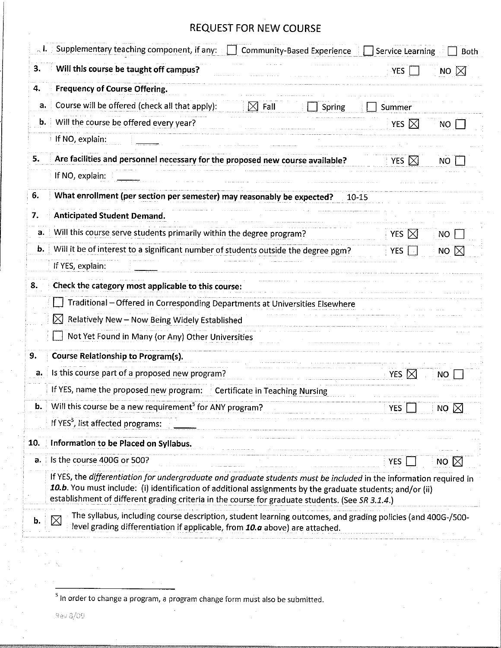| 3.  | Will this course be taught off campus?                                                                                                                                                                                                                                                                                                | <b>YES</b>      | NO $\boxtimes$      |
|-----|---------------------------------------------------------------------------------------------------------------------------------------------------------------------------------------------------------------------------------------------------------------------------------------------------------------------------------------|-----------------|---------------------|
| 4.  | Frequency of Course Offering.                                                                                                                                                                                                                                                                                                         |                 |                     |
| a.  | Course will be offered (check all that apply):<br>$\boxtimes$ Fall<br>Spring                                                                                                                                                                                                                                                          | Summer          |                     |
| b.  | Will the course be offered every year?                                                                                                                                                                                                                                                                                                | YES $\nabla$    | 'NO                 |
|     | If NO, explain:                                                                                                                                                                                                                                                                                                                       |                 |                     |
| 5.  | Are facilities and personnel necessary for the proposed new course available?                                                                                                                                                                                                                                                         | YES $\boxtimes$ | NO                  |
|     | If NO, explain:                                                                                                                                                                                                                                                                                                                       |                 |                     |
| 6.  | What enrollment (per section per semester) may reasonably be expected?<br>$10 - 15$                                                                                                                                                                                                                                                   |                 |                     |
| 7.  | <b>Anticipated Student Demand.</b>                                                                                                                                                                                                                                                                                                    |                 |                     |
| а.  | Will this course serve students primarily within the degree program?                                                                                                                                                                                                                                                                  | YES $\boxtimes$ | NO.                 |
| b.  | Will it be of interest to a significant number of students outside the degree pgm?                                                                                                                                                                                                                                                    | <b>YES</b>      | $\mathbb{X}$<br>NO. |
|     | If YES, explain:                                                                                                                                                                                                                                                                                                                      |                 |                     |
| 8.  | Check the category most applicable to this course:                                                                                                                                                                                                                                                                                    |                 |                     |
|     | Traditional - Offered in Corresponding Departments at Universities Elsewhere                                                                                                                                                                                                                                                          |                 |                     |
|     | $\bowtie$<br>Relatively New - Now Being Widely Established                                                                                                                                                                                                                                                                            |                 |                     |
|     | Not Yet Found in Many (or Any) Other Universities                                                                                                                                                                                                                                                                                     |                 |                     |
|     | <b>Course Relationship to Program(s).</b>                                                                                                                                                                                                                                                                                             |                 |                     |
| а.  | Is this course part of a proposed new program?                                                                                                                                                                                                                                                                                        | YES $\boxtimes$ | NO.                 |
|     | If YES, name the proposed new program:  Certificate in Teaching Nursing                                                                                                                                                                                                                                                               |                 |                     |
|     | Will this course be a new requirement <sup>3</sup> for ANY program?                                                                                                                                                                                                                                                                   | <b>YES</b>      | NO $\boxtimes$      |
|     | If YES <sup>5</sup> , list affected programs:                                                                                                                                                                                                                                                                                         |                 |                     |
| 10. | Information to be Placed on Syllabus.                                                                                                                                                                                                                                                                                                 |                 |                     |
| а.  | Is the course 400G or 500?                                                                                                                                                                                                                                                                                                            | YES             | NO $\boxtimes$      |
|     | If YES, the differentiation for undergraduate and graduate students must be included in the information required in<br>10.b. You must include: (i) identification of additional assignments by the graduate students; and/or (ii)<br>establishment of different grading criteria in the course for graduate students. (See SR 3.1.4.) |                 |                     |
| b.  | The syllabus, including course description, student learning outcomes, and grading policies (and 400G-/500-<br>$\times$<br>level grading differentiation if applicable, from 10.a above) are attached.                                                                                                                                |                 |                     |

 $<sup>5</sup>$  in order to change a program, a program change form must also be submitted.</sup>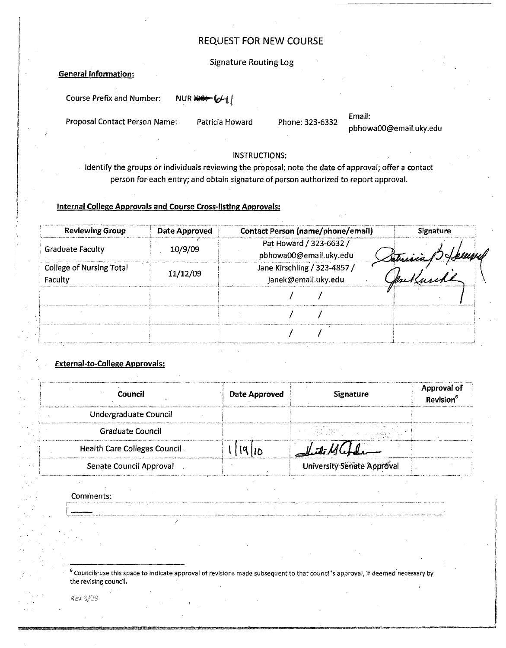#### Signature Routing log

#### .General Information:

Course Prefix and Number: NUR >> (d+1)

Proposal Contact Person Name: Patricia Howard Phone: 323-6332

#### Email: pbhowaOO@email.uky.edu

#### INSTRUCTIONS:

Identify the groups or individuals reviewing the proposal; note the date of approval; offer a contact person for each entry; and obtain signature of person authorized to report approval.

#### Internal College Approvals and Course Cross-listing Approvals:

| <b>Reviewing Group</b>                     | Date Approved | <b>Contact Person (name/phone/email)</b>            | <b>Signature</b> |  |
|--------------------------------------------|---------------|-----------------------------------------------------|------------------|--|
| <b>Graduate Faculty</b><br>10/9/09         |               | Pat Howard / 323-6632 /<br>pbhowa00@email.uky.edu   | Setrein 1) Helle |  |
| <b>College of Nursing Total</b><br>Faculty | 11/12/09      | Jane Kirschling / 323-4857 /<br>janek@email.uky.edu |                  |  |
|                                            |               |                                                     |                  |  |
|                                            |               |                                                     |                  |  |
|                                            |               |                                                     |                  |  |

#### External-to-College Approvals:

|                                     | A 1998 for their and constitutions are the company of the context of a distribution of the constitution of the constitution of the constitution of the constitution of the constitution of the constitution of the constitutio |                                   |                                       |  |
|-------------------------------------|--------------------------------------------------------------------------------------------------------------------------------------------------------------------------------------------------------------------------------|-----------------------------------|---------------------------------------|--|
| Council                             | Date Approved                                                                                                                                                                                                                  | <b>Signature</b>                  | <b>Approval of</b><br><b>Revision</b> |  |
| Undergraduate Council               |                                                                                                                                                                                                                                |                                   |                                       |  |
| <b>Graduate Council</b>             |                                                                                                                                                                                                                                |                                   |                                       |  |
| <b>Health Care Colleges Council</b> | 1910                                                                                                                                                                                                                           |                                   |                                       |  |
| Senate Council Approval             |                                                                                                                                                                                                                                | <b>University Senate Approval</b> |                                       |  |

Comments:

<sup>6</sup> Councils use this space to indicate approval of revisions made subsequent to that council's approval, if deemed necessary by the revising council.

Rev 8/09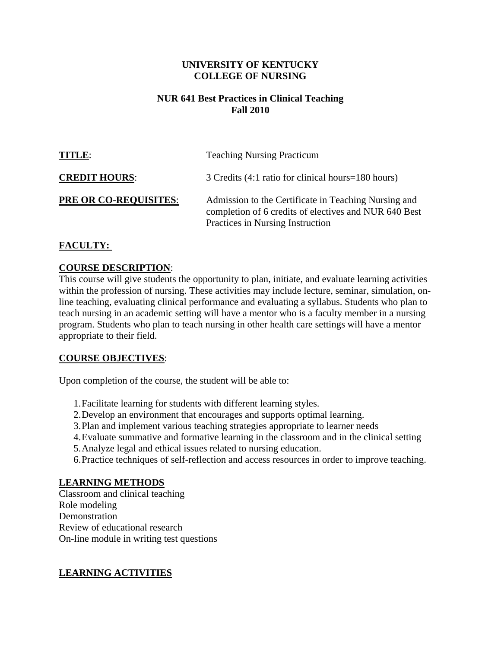#### **UNIVERSITY OF KENTUCKY COLLEGE OF NURSING**

#### **NUR 641 Best Practices in Clinical Teaching Fall 2010**

| TITLE:                       | <b>Teaching Nursing Practicum</b>                                                                                                                 |
|------------------------------|---------------------------------------------------------------------------------------------------------------------------------------------------|
| <b>CREDIT HOURS:</b>         | 3 Credits (4:1 ratio for clinical hours=180 hours)                                                                                                |
| <b>PRE OR CO-REQUISITES:</b> | Admission to the Certificate in Teaching Nursing and<br>completion of 6 credits of electives and NUR 640 Best<br>Practices in Nursing Instruction |

## **FACULTY:**

#### **COURSE DESCRIPTION**:

This course will give students the opportunity to plan, initiate, and evaluate learning activities within the profession of nursing. These activities may include lecture, seminar, simulation, online teaching, evaluating clinical performance and evaluating a syllabus. Students who plan to teach nursing in an academic setting will have a mentor who is a faculty member in a nursing program. Students who plan to teach nursing in other health care settings will have a mentor appropriate to their field.

## **COURSE OBJECTIVES**:

Upon completion of the course, the student will be able to:

- 1.Facilitate learning for students with different learning styles.
- 2.Develop an environment that encourages and supports optimal learning.
- 3.Plan and implement various teaching strategies appropriate to learner needs
- 4.Evaluate summative and formative learning in the classroom and in the clinical setting
- 5.Analyze legal and ethical issues related to nursing education.
- 6.Practice techniques of self-reflection and access resources in order to improve teaching.

#### **LEARNING METHODS**

Classroom and clinical teaching Role modeling **Demonstration** Review of educational research On-line module in writing test questions

## **LEARNING ACTIVITIES**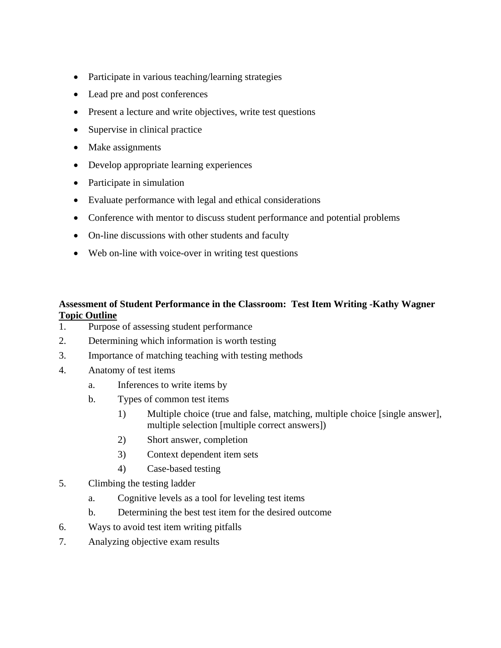- Participate in various teaching/learning strategies
- Lead pre and post conferences
- Present a lecture and write objectives, write test questions
- Supervise in clinical practice
- Make assignments
- Develop appropriate learning experiences
- Participate in simulation
- Evaluate performance with legal and ethical considerations
- Conference with mentor to discuss student performance and potential problems
- On-line discussions with other students and faculty
- Web on-line with voice-over in writing test questions

## **Assessment of Student Performance in the Classroom: Test Item Writing -Kathy Wagner Topic Outline**

- 1. Purpose of assessing student performance
- 2. Determining which information is worth testing
- 3. Importance of matching teaching with testing methods
- 4. Anatomy of test items
	- a. Inferences to write items by
	- b. Types of common test items
		- 1) Multiple choice (true and false, matching, multiple choice [single answer], multiple selection [multiple correct answers])
		- 2) Short answer, completion
		- 3) Context dependent item sets
		- 4) Case-based testing
- 5. Climbing the testing ladder
	- a. Cognitive levels as a tool for leveling test items
	- b. Determining the best test item for the desired outcome
- 6. Ways to avoid test item writing pitfalls
- 7. Analyzing objective exam results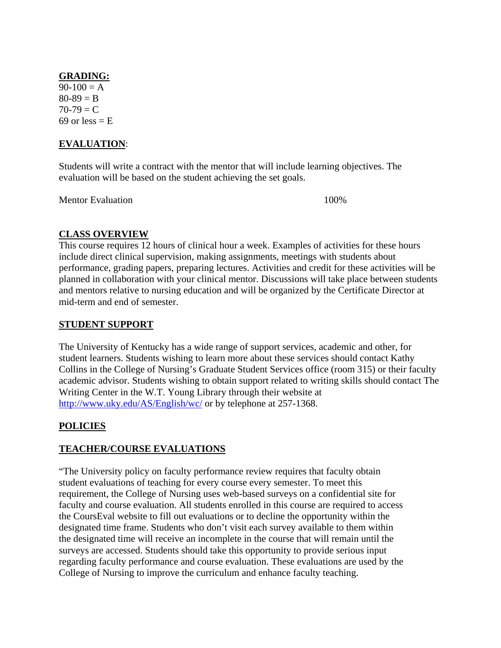#### **GRADING:**

 $90-100 = A$  $80-89 = B$  $70-79 = C$ 69 or less  $=$  E

## **EVALUATION**:

Students will write a contract with the mentor that will include learning objectives. The evaluation will be based on the student achieving the set goals.

Mentor Evaluation 100%

## **CLASS OVERVIEW**

This course requires 12 hours of clinical hour a week. Examples of activities for these hours include direct clinical supervision, making assignments, meetings with students about performance, grading papers, preparing lectures. Activities and credit for these activities will be planned in collaboration with your clinical mentor. Discussions will take place between students and mentors relative to nursing education and will be organized by the Certificate Director at mid-term and end of semester.

## **STUDENT SUPPORT**

The University of Kentucky has a wide range of support services, academic and other, for student learners. Students wishing to learn more about these services should contact Kathy Collins in the College of Nursing's Graduate Student Services office (room 315) or their faculty academic advisor. Students wishing to obtain support related to writing skills should contact The Writing Center in the W.T. Young Library through their website at <http://www.uky.edu/AS/English/wc/> or by telephone at 257-1368.

## **POLICIES**

## **TEACHER/COURSE EVALUATIONS**

"The University policy on faculty performance review requires that faculty obtain student evaluations of teaching for every course every semester. To meet this requirement, the College of Nursing uses web-based surveys on a confidential site for faculty and course evaluation. All students enrolled in this course are required to access the CoursEval website to fill out evaluations or to decline the opportunity within the designated time frame. Students who don't visit each survey available to them within the designated time will receive an incomplete in the course that will remain until the surveys are accessed. Students should take this opportunity to provide serious input regarding faculty performance and course evaluation. These evaluations are used by the College of Nursing to improve the curriculum and enhance faculty teaching.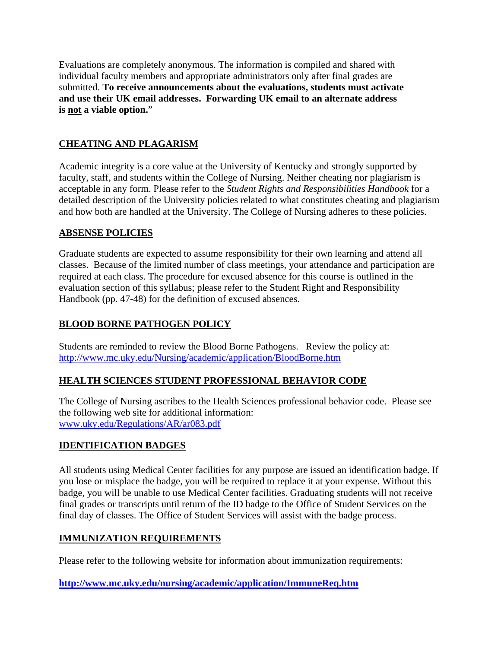Evaluations are completely anonymous. The information is compiled and shared with individual faculty members and appropriate administrators only after final grades are submitted. **To receive announcements about the evaluations, students must activate and use their UK email addresses. Forwarding UK email to an alternate address is not a viable option.**"

## **CHEATING AND PLAGARISM**

Academic integrity is a core value at the University of Kentucky and strongly supported by faculty, staff, and students within the College of Nursing. Neither cheating nor plagiarism is acceptable in any form. Please refer to the *Student Rights and Responsibilities Handbook* for a detailed description of the University policies related to what constitutes cheating and plagiarism and how both are handled at the University. The College of Nursing adheres to these policies.

## **ABSENSE POLICIES**

Graduate students are expected to assume responsibility for their own learning and attend all classes. Because of the limited number of class meetings, your attendance and participation are required at each class. The procedure for excused absence for this course is outlined in the evaluation section of this syllabus; please refer to the Student Right and Responsibility Handbook (pp. 47-48) for the definition of excused absences.

## **BLOOD BORNE PATHOGEN POLICY**

Students are reminded to review the Blood Borne Pathogens. Review the policy at: <http://www.mc.uky.edu/Nursing/academic/application/BloodBorne.htm>

## **HEALTH SCIENCES STUDENT PROFESSIONAL BEHAVIOR CODE**

The College of Nursing ascribes to the Health Sciences professional behavior code. Please see the following web site for additional information: [www.uky.edu/Regulations/AR/ar083.pdf](http://www.uky.edu/Regulations/AR/ar083.pdf) 

## **IDENTIFICATION BADGES**

All students using Medical Center facilities for any purpose are issued an identification badge. If you lose or misplace the badge, you will be required to replace it at your expense. Without this badge, you will be unable to use Medical Center facilities. Graduating students will not receive final grades or transcripts until return of the ID badge to the Office of Student Services on the final day of classes. The Office of Student Services will assist with the badge process.

## **[IMMUNIZATION REQUIREMENTS](http://www.mc.uky.edu/nursing/academic/application/ImmuneReq.htm)**

Please refer to the following website for information about immunization requirements:

#### **<http://www.mc.uky.edu/nursing/academic/application/ImmuneReq.htm>**